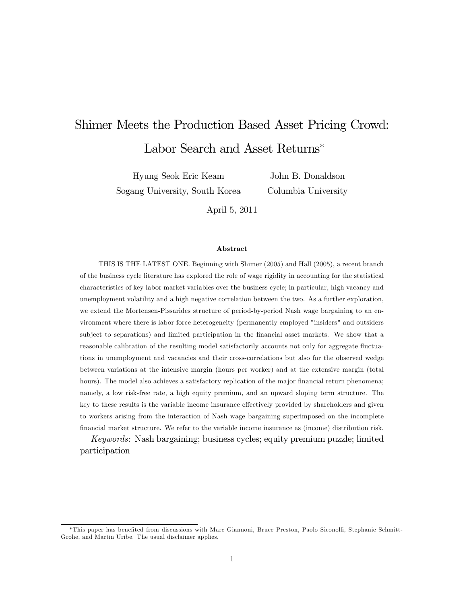# Shimer Meets the Production Based Asset Pricing Crowd: Labor Search and Asset Returns<sup>\*</sup>

Hyung Seok Eric Keam Sogang University, South Korea

John B. Donaldson Columbia University

April 5, 2011

#### Abstract

THIS IS THE LATEST ONE. Beginning with Shimer (2005) and Hall (2005), a recent branch of the business cycle literature has explored the role of wage rigidity in accounting for the statistical characteristics of key labor market variables over the business cycle; in particular, high vacancy and unemployment volatility and a high negative correlation between the two. As a further exploration, we extend the Mortensen-Pissarides structure of period-by-period Nash wage bargaining to an environment where there is labor force heterogeneity (permanently employed "insiders" and outsiders subject to separations) and limited participation in the financial asset markets. We show that a reasonable calibration of the resulting model satisfactorily accounts not only for aggregate fluctuations in unemployment and vacancies and their cross-correlations but also for the observed wedge between variations at the intensive margin (hours per worker) and at the extensive margin (total hours). The model also achieves a satisfactory replication of the major financial return phenomena; namely, a low risk-free rate, a high equity premium, and an upward sloping term structure. The key to these results is the variable income insurance effectively provided by shareholders and given to workers arising from the interaction of Nash wage bargaining superimposed on the incomplete Önancial market structure. We refer to the variable income insurance as (income) distribution risk.

Keywords: Nash bargaining; business cycles; equity premium puzzle; limited participation

<sup>\*</sup>This paper has benefited from discussions with Marc Giannoni, Bruce Preston, Paolo Siconolfi, Stephanie Schmitt-Grohe, and Martin Uribe. The usual disclaimer applies.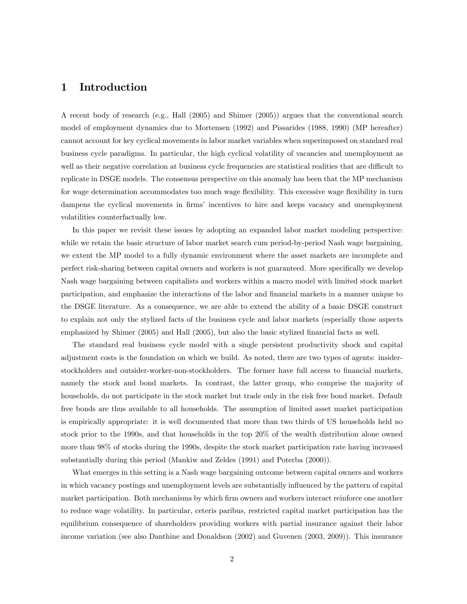## 1 Introduction

A recent body of research (e.g., Hall (2005) and Shimer (2005)) argues that the conventional search model of employment dynamics due to Mortensen (1992) and Pissarides (1988, 1990) (MP hereafter) cannot account for key cyclical movements in labor market variables when superimposed on standard real business cycle paradigms. In particular, the high cyclical volatility of vacancies and unemployment as well as their negative correlation at business cycle frequencies are statistical realities that are difficult to replicate in DSGE models. The consensus perspective on this anomaly has been that the MP mechanism for wage determination accommodates too much wage flexibility. This excessive wage flexibility in turn dampens the cyclical movements in firms' incentives to hire and keeps vacancy and unemployment volatilities counterfactually low.

In this paper we revisit these issues by adopting an expanded labor market modeling perspective: while we retain the basic structure of labor market search cum period-by-period Nash wage bargaining, we extent the MP model to a fully dynamic environment where the asset markets are incomplete and perfect risk-sharing between capital owners and workers is not guaranteed. More specifically we develop Nash wage bargaining between capitalists and workers within a macro model with limited stock market participation, and emphasize the interactions of the labor and financial markets in a manner unique to the DSGE literature. As a consequence, we are able to extend the ability of a basic DSGE construct to explain not only the stylized facts of the business cycle and labor markets (especially those aspects emphasized by Shimer (2005) and Hall (2005), but also the basic stylized financial facts as well.

The standard real business cycle model with a single persistent productivity shock and capital adjustment costs is the foundation on which we build. As noted, there are two types of agents: insiderstockholders and outsider-worker-non-stockholders. The former have full access to financial markets, namely the stock and bond markets. In contrast, the latter group, who comprise the majority of households, do not participate in the stock market but trade only in the risk free bond market. Default free bonds are thus available to all households. The assumption of limited asset market participation is empirically appropriate: it is well documented that more than two thirds of US households held no stock prior to the 1990s, and that households in the top 20% of the wealth distribution alone owned more than 98% of stocks during the 1990s, despite the stock market participation rate having increased substantially during this period (Mankiw and Zeldes (1991) and Poterba (2000)).

What emerges in this setting is a Nash wage bargaining outcome between capital owners and workers in which vacancy postings and unemployment levels are substantially influenced by the pattern of capital market participation. Both mechanisms by which firm owners and workers interact reinforce one another to reduce wage volatility. In particular, ceteris paribus, restricted capital market participation has the equilibrium consequence of shareholders providing workers with partial insurance against their labor income variation (see also Danthine and Donaldson (2002) and Guvenen (2003, 2009)). This insurance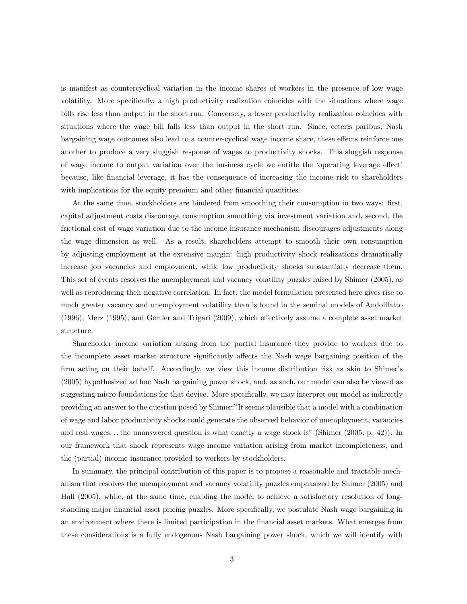is manifest as countercyclical variation in the income shares of workers in the presence of low wage volatility. More specifically, a high productivity realization coincides with the situations where wage bills rise less than output in the short run. Conversely, a lower productivity realization coincides with situations where the wage bill falls less than output in the short run. Since, ceteris paribus, Nash bargaining wage outcomes also lead to a counter-cyclical wage income share, these effects reinforce one another to produce a very sluggish response of wages to productivity shocks. This sluggish response of wage income to output variation over the business cycle we entitle the 'operating leverage effect' because, like Önancial leverage, it has the consequence of increasing the income risk to shareholders with implications for the equity premium and other financial quantities.

At the same time, stockholders are hindered from smoothing their consumption in two ways: first, capital adjustment costs discourage consumption smoothing via investment variation and, second, the frictional cost of wage variation due to the income insurance mechanism discourages adjustments along the wage dimension as well. As a result, shareholders attempt to smooth their own consumption by adjusting employment at the extensive margin: high productivity shock realizations dramatically increase job vacancies and employment, while low productivity shocks substantially decrease them. This set of events resolves the unemployment and vacancy volatility puzzles raised by Shimer (2005), as well as reproducing their negative correlation. In fact, the model formulation presented here gives rise to much greater vacancy and unemployment volatility than is found in the seminal models of Andolflatto  $(1996)$ , Merz  $(1995)$ , and Gertler and Trigari  $(2009)$ , which effectively assume a complete asset market structure.

Shareholder income variation arising from the partial insurance they provide to workers due to the incomplete asset market structure significantly affects the Nash wage bargaining position of the firm acting on their behalf. Accordingly, we view this income distribution risk as akin to Shimer's (2005) hypothesized ad hoc Nash bargaining power shock, and, as such, our model can also be viewed as suggesting micro-foundations for that device. More specifically, we may interpret our model as indirectly providing an answer to the question posed by Shimer:"It seems plausible that a model with a combination of wage and labor productivity shocks could generate the observed behavior of unemployment, vacancies and real wages... the unanswered question is what exactly a wage shock is" (Shimer (2005, p. 42)). In our framework that shock represents wage income variation arising from market incompleteness, and the (partial) income insurance provided to workers by stockholders.

In summary, the principal contribution of this paper is to propose a reasonable and tractable mechanism that resolves the unemployment and vacancy volatility puzzles emphasized by Shimer (2005) and Hall (2005), while, at the same time, enabling the model to achieve a satisfactory resolution of longstanding major financial asset pricing puzzles. More specifically, we postulate Nash wage bargaining in an environment where there is limited participation in the Önancial asset markets. What emerges from these considerations is a fully endogenous Nash bargaining power shock, which we will identify with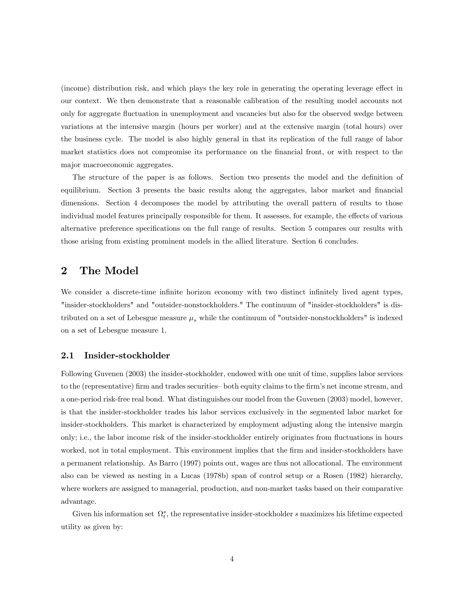(income) distribution risk, and which plays the key role in generating the operating leverage effect in our context. We then demonstrate that a reasonable calibration of the resulting model accounts not only for aggregate áuctuation in unemployment and vacancies but also for the observed wedge between variations at the intensive margin (hours per worker) and at the extensive margin (total hours) over the business cycle. The model is also highly general in that its replication of the full range of labor market statistics does not compromise its performance on the financial front, or with respect to the major macroeconomic aggregates.

The structure of the paper is as follows. Section two presents the model and the definition of equilibrium. Section 3 presents the basic results along the aggregates, labor market and financial dimensions. Section 4 decomposes the model by attributing the overall pattern of results to those individual model features principally responsible for them. It assesses, for example, the effects of various alternative preference specifications on the full range of results. Section 5 compares our results with those arising from existing prominent models in the allied literature. Section 6 concludes.

## 2 The Model

We consider a discrete-time infinite horizon economy with two distinct infinitely lived agent types, "insider-stockholders" and "outsider-nonstockholders." The continuum of "insider-stockholders" is distributed on a set of Lebesgue measure  $\mu_s$  while the continuum of "outsider-nonstockholders" is indexed on a set of Lebesgue measure 1.

#### 2.1 Insider-stockholder

Following Guvenen (2003) the insider-stockholder, endowed with one unit of time, supplies labor services to the (representative) firm and trades securities both equity claims to the firm's net income stream, and a one-period risk-free real bond. What distinguishes our model from the Guvenen (2003) model, however, is that the insider-stockholder trades his labor services exclusively in the segmented labor market for insider-stockholders. This market is characterized by employment adjusting along the intensive margin only; i.e., the labor income risk of the insider-stockholder entirely originates from fluctuations in hours worked, not in total employment. This environment implies that the firm and insider-stockholders have a permanent relationship. As Barro (1997) points out, wages are thus not allocational. The environment also can be viewed as nesting in a Lucas (1978b) span of control setup or a Rosen (1982) hierarchy, where workers are assigned to managerial, production, and non-market tasks based on their comparative advantage.

Given his information set  $\Omega_t^s$ , the representative insider-stockholder s maximizes his lifetime expected utility as given by: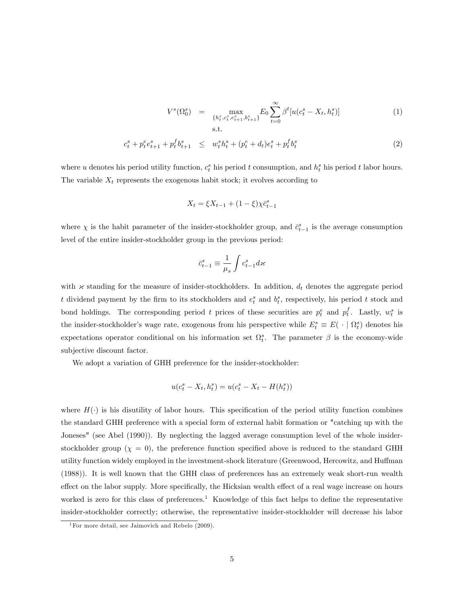$$
V^{s}(\Omega_{0}^{s}) = \max_{\{h_{t}^{s}, c_{t}^{s}, e_{t+1}^{s}, b_{t+1}^{s}\}} E_{0} \sum_{t=0}^{\infty} \beta^{t} [u(c_{t}^{s} - X_{t}, h_{t}^{s})]
$$
(1)  
s.t.

$$
c_t^s + p_t^e c_{t+1}^s + p_t^f b_{t+1}^s \leq w_t^s h_t^s + (p_t^e + d_t) e_t^s + p_t^f b_t^s \tag{2}
$$

where u denotes his period utility function,  $c_t^s$  his period t consumption, and  $h_t^s$  his period t labor hours. The variable  $X_t$  represents the exogenous habit stock; it evolves according to

$$
X_t = \xi X_{t-1} + (1 - \xi) \chi \bar{c}_{t-1}^s
$$

where  $\chi$  is the habit parameter of the insider-stockholder group, and  $\bar{c}_{t-1}^s$  is the average consumption level of the entire insider-stockholder group in the previous period:

$$
\bar{c}_{t-1}^s \equiv \frac{1}{\mu_s} \int c_{t-1}^s d\varkappa
$$

with  $\times$  standing for the measure of insider-stockholders. In addition,  $d_t$  denotes the aggregate period t dividend payment by the firm to its stockholders and  $e_t^s$  and  $b_t^s$ , respectively, his period t stock and bond holdings. The corresponding period t prices of these securities are  $p_t^e$  and  $p_t^f$ . Lastly,  $w_t^s$  is the insider-stockholder's wage rate, exogenous from his perspective while  $E_t^s \equiv E(\cdot | \Omega_t^s)$  denotes his expectations operator conditional on his information set  $\Omega_t^s$ . The parameter  $\beta$  is the economy-wide subjective discount factor.

We adopt a variation of GHH preference for the insider-stockholder:

$$
u(c_t^s - X_t, h_t^s) = u(c_t^s - X_t - H(h_t^s))
$$

where  $H(\cdot)$  is his disutility of labor hours. This specification of the period utility function combines the standard GHH preference with a special form of external habit formation or "catching up with the Joneses" (see Abel (1990)). By neglecting the lagged average consumption level of the whole insiderstockholder group ( $\chi = 0$ ), the preference function specified above is reduced to the standard GHH utility function widely employed in the investment-shock literature (Greenwood, Hercowitz, and Huffman (1988)). It is well known that the GHH class of preferences has an extremely weak short-run wealth effect on the labor supply. More specifically, the Hicksian wealth effect of a real wage increase on hours worked is zero for this class of preferences.<sup>1</sup> Knowledge of this fact helps to define the representative insider-stockholder correctly; otherwise, the representative insider-stockholder will decrease his labor

<sup>&</sup>lt;sup>1</sup>For more detail, see Jaimovich and Rebelo  $(2009)$ .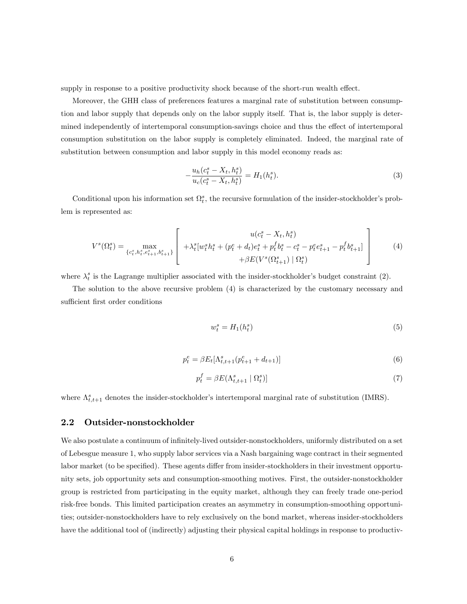supply in response to a positive productivity shock because of the short-run wealth effect.

Moreover, the GHH class of preferences features a marginal rate of substitution between consumption and labor supply that depends only on the labor supply itself. That is, the labor supply is determined independently of intertemporal consumption-savings choice and thus the effect of intertemporal consumption substitution on the labor supply is completely eliminated. Indeed, the marginal rate of substitution between consumption and labor supply in this model economy reads as:

$$
-\frac{u_h(c_t^s - X_t, h_t^s)}{u_c(c_t^s - X_t, h_t^s)} = H_1(h_t^s).
$$
\n(3)

Conditional upon his information set  $\Omega_t^s$ , the recursive formulation of the insider-stockholder's problem is represented as:

$$
V^{s}(\Omega_{t}^{s}) = \max_{\{c_{t}^{s}, h_{t}^{s}, e_{t+1}^{s}, b_{t+1}^{s}\}} \left[ \begin{array}{c} u(c_{t}^{s} - X_{t}, h_{t}^{s}) \\ + \lambda_{t}^{s} [w_{t}^{s} h_{t}^{s} + (p_{t}^{e} + d_{t}) e_{t}^{s} + p_{t}^{f} b_{t}^{s} - c_{t}^{s} - p_{t}^{e} e_{t+1}^{s} - p_{t}^{f} b_{t+1}^{s}] \\ + \beta E(V^{s}(\Omega_{t+1}^{s}) \mid \Omega_{t}^{s}) \end{array} \right] \tag{4}
$$

where  $\lambda_t^s$  is the Lagrange multiplier associated with the insider-stockholder's budget constraint (2).

The solution to the above recursive problem (4) is characterized by the customary necessary and sufficient first order conditions

$$
w_t^s = H_1(h_t^s) \tag{5}
$$

$$
p_t^e = \beta E_t[\Lambda_{t,t+1}^s(p_{t+1}^e + d_{t+1})] \tag{6}
$$

$$
p_t^f = \beta E(\Lambda_{t,t+1}^s \mid \Omega_t^s) \tag{7}
$$

where  $\Lambda_{t,t+1}^s$  denotes the insider-stockholder's intertemporal marginal rate of substitution (IMRS).

#### 2.2 Outsider-nonstockholder

We also postulate a continuum of infinitely-lived outsider-nonstockholders, uniformly distributed on a set of Lebesgue measure 1, who supply labor services via a Nash bargaining wage contract in their segmented labor market (to be specified). These agents differ from insider-stockholders in their investment opportunity sets, job opportunity sets and consumption-smoothing motives. First, the outsider-nonstockholder group is restricted from participating in the equity market, although they can freely trade one-period risk-free bonds. This limited participation creates an asymmetry in consumption-smoothing opportunities; outsider-nonstockholders have to rely exclusively on the bond market, whereas insider-stockholders have the additional tool of (indirectly) adjusting their physical capital holdings in response to productiv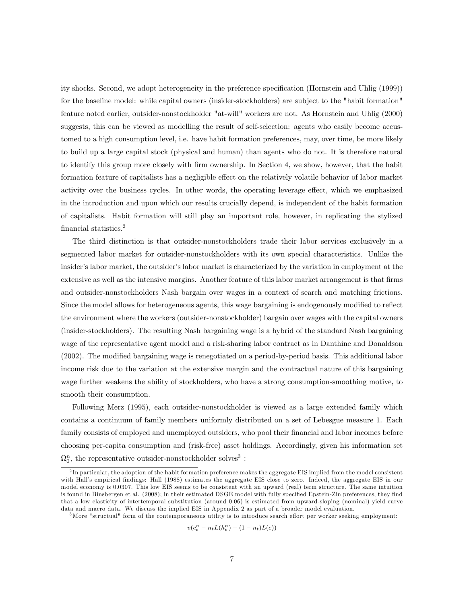ity shocks. Second, we adopt heterogeneity in the preference specification (Hornstein and Uhlig (1999)) for the baseline model: while capital owners (insider-stockholders) are subject to the "habit formation" feature noted earlier, outsider-nonstockholder "at-will" workers are not. As Hornstein and Uhlig (2000) suggests, this can be viewed as modelling the result of self-selection: agents who easily become accustomed to a high consumption level, i.e. have habit formation preferences, may, over time, be more likely to build up a large capital stock (physical and human) than agents who do not. It is therefore natural to identify this group more closely with Örm ownership. In Section 4, we show, however, that the habit formation feature of capitalists has a negligible effect on the relatively volatile behavior of labor market activity over the business cycles. In other words, the operating leverage effect, which we emphasized in the introduction and upon which our results crucially depend, is independent of the habit formation of capitalists. Habit formation will still play an important role, however, in replicating the stylized financial statistics.<sup>2</sup>

The third distinction is that outsider-nonstockholders trade their labor services exclusively in a segmented labor market for outsider-nonstockholders with its own special characteristics. Unlike the insider's labor market, the outsider's labor market is characterized by the variation in employment at the extensive as well as the intensive margins. Another feature of this labor market arrangement is that firms and outsider-nonstockholders Nash bargain over wages in a context of search and matching frictions. Since the model allows for heterogeneous agents, this wage bargaining is endogenously modified to reflect the environment where the workers (outsider-nonstockholder) bargain over wages with the capital owners (insider-stockholders). The resulting Nash bargaining wage is a hybrid of the standard Nash bargaining wage of the representative agent model and a risk-sharing labor contract as in Danthine and Donaldson (2002). The modified bargaining wage is renegotiated on a period-by-period basis. This additional labor income risk due to the variation at the extensive margin and the contractual nature of this bargaining wage further weakens the ability of stockholders, who have a strong consumption-smoothing motive, to smooth their consumption.

Following Merz (1995), each outsider-nonstockholder is viewed as a large extended family which contains a continuum of family members uniformly distributed on a set of Lebesgue measure 1. Each family consists of employed and unemployed outsiders, who pool their financial and labor incomes before choosing per-capita consumption and (risk-free) asset holdings. Accordingly, given his information set  $\Omega_0^n$ , the representative outsider-nonstockholder solves<sup>3</sup>:

$$
v(c_t^n - n_t L(h_t^n) - (1 - n_t)L(e))
$$

 ${}^{2}$ In particular, the adoption of the habit formation preference makes the aggregate EIS implied from the model consistent with Hall's empirical findings: Hall (1988) estimates the aggregate EIS close to zero. Indeed, the aggregate EIS in our model economy is 0.0307. This low EIS seems to be consistent with an upward (real) term structure. The same intuition is found in Binsbergen et al. (2008); in their estimated DSGE model with fully specified Epstein-Zin preferences, they find that a low elasticity of intertemporal substitution (around 0.06) is estimated from upward-sloping (nominal) yield curve data and macro data. We discuss the implied EIS in Appendix 2 as part of a broader model evaluation.

 $3$ More "structual" form of the contemporaneous utility is to introduce search effort per worker seeking employment: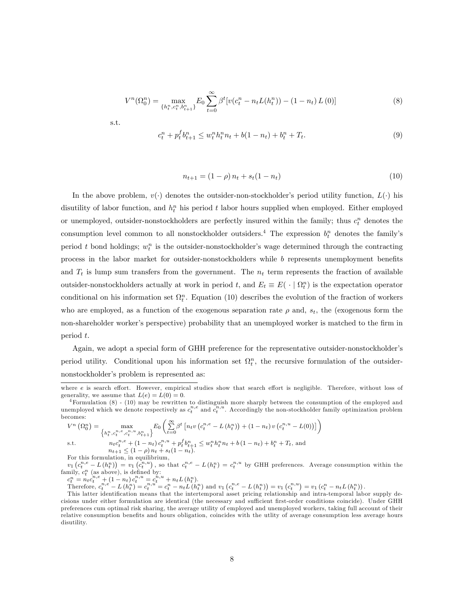$$
V^{n}(\Omega_{0}^{n}) = \max_{\{h_{t}^{n}, c_{t}^{n}, b_{t+1}^{n}\}} E_{0} \sum_{t=0}^{\infty} \beta^{t} [v(c_{t}^{n} - n_{t}L(h_{t}^{n})) - (1 - n_{t})L(0)] \tag{8}
$$

s.t.

$$
c_t^n + p_t^f b_{t+1}^n \le w_t^n h_t^n n_t + b(1 - n_t) + b_t^n + T_t.
$$
\n(9)

$$
n_{t+1} = (1 - \rho) n_t + s_t (1 - n_t)
$$
\n(10)

In the above problem,  $v(\cdot)$  denotes the outsider-non-stockholder's period utility function,  $L(\cdot)$  his disutility of labor function, and  $h_t^n$  his period t labor hours supplied when employed. Either employed or unemployed, outsider-nonstockholders are perfectly insured within the family; thus  $c_t^n$  denotes the consumption level common to all nonstockholder outsiders.<sup>4</sup> The expression  $b_t^n$  denotes the family's period t bond holdings;  $w_t^n$  is the outsider-nonstockholder's wage determined through the contracting process in the labor market for outsider-nonstockholders while b represents unemployment benefits and  $T_t$  is lump sum transfers from the government. The  $n_t$  term represents the fraction of available outsider-nonstockholders actually at work in period t, and  $E_t \equiv E(\cdot | \Omega_t^n)$  is the expectation operator conditional on his information set  $\Omega_t^n$ . Equation (10) describes the evolution of the fraction of workers who are employed, as a function of the exogenous separation rate  $\rho$  and,  $s_t$ , the (exogenous form the non-shareholder worker's perspective) probability that an unemployed worker is matched to the firm in period t.

Again, we adopt a special form of GHH preference for the representative outsider-nonstockholder's period utility. Conditional upon his information set  $\Omega_t^n$ , the recursive formulation of the outsidernonstockholder's problem is represented as:

$$
V^{n}(\Omega_{0}^{n}) = \max_{\left\{h_{t}^{n}, c_{t}^{n,e}, c_{t}^{n,u}, b_{t+1}^{n}\right\}} E_{0}\left(\sum_{t=0}^{\infty} \beta^{t} \left[n_{t}v\left(c_{t}^{n,e} - L\left(h_{t}^{n}\right)\right) + (1 - n_{t})v\left(c_{t}^{n,u} - L(0)\right)\right]\right)
$$
  
s.t. 
$$
n_{t}c_{t}^{n,e} + (1 - n_{t})c_{t}^{n,u} + p_{t}^{f}b_{t+1}^{n} \leq w_{t}^{n}h_{t}^{n}n_{t} + b(1 - n_{t}) + b_{t}^{n} + T_{t}, \text{ and}
$$

$$
n_{t+1} \le (1 - \rho) n_t + s_t (1 - n_t).
$$

For this formulation, in equilibrium,

 $v_1\left(c_t^{n,e}-L\left(h_t^n\right)\right)=v_1\left(c_t^{n,u}\right)$ , so that  $c_t^{n,e}-L\left(h_t^n\right)=c_t^{n,u}$  by GHH preferences. Average consumption within the family,  $c_t^n$  (as above), is defined by:

 $c_t^n = n_t c_t^{n,e} + (1 - n_t) c_t^{n,u} = c_t^{n,u} + n_t L(h_t^n).$ 

Therefore,  $c_t^{n,e} - L(h_t^n) = c_t^{n,u} = c_t^n - n_t L(h_t^n)$  and  $v_1(c_t^{n,e} - L(h_t^n)) = v_1(c_t^{n,u}) = v_1(c_t^n - n_t L(h_t^n))$ .

where e is search effort. However, empirical studies show that search effort is negligible. Therefore, without loss of generality, we assume that  $L(e) = L(0) = 0$ .

 $4$ Formulation  $(8)$  -  $(10)$  may be rewritten to distinguish more sharply between the consumption of the employed and unemployed which we denote respectively as  $c_t^{n,e}$  and  $c_t^{n,u}$ . Accordingly the non-stockholder family optimization problem becomes:

This latter identification means that the intertemporal asset pricing relationship and intra-temporal labor supply decisions under either formulation are identical (the necessary and sufficient first-order conditions coincide). Under GHH preferences cum optimal risk sharing, the average utility of employed and unemployed workers, taking full account of their relative consumption benefits and hours obligation, coincides with the utlity of average consumption less average hours disutility.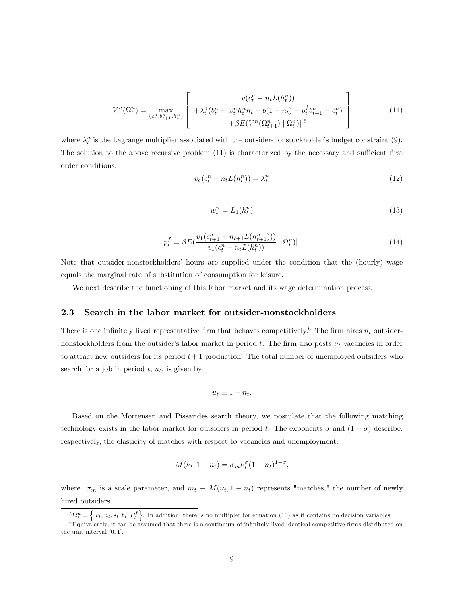$$
V^{n}(\Omega_{t}^{n}) = \max_{\{c_{t}^{n}, b_{t+1}^{n}, h_{t}^{n}\}} \left[ \begin{array}{c} v(c_{t}^{n} - n_{t}L(h_{t}^{n})) \\ + \lambda_{t}^{n}(b_{t}^{n} + w_{t}^{n}h_{t}^{n}n_{t} + b(1 - n_{t}) - p_{t}^{f}b_{t+1}^{n} - c_{t}^{n}) \\ + \beta E(V^{n}(\Omega_{t+1}^{n}) \mid \Omega_{t}^{n}) \right]^{5} \end{array} \right]
$$
(11)

where  $\lambda_t^n$  is the Lagrange multiplier associated with the outsider-nonstockholder's budget constraint (9). The solution to the above recursive problem  $(11)$  is characterized by the necessary and sufficient first order conditions:

$$
v_c(c_t^n - n_t L(h_t^n)) = \lambda_t^n \tag{12}
$$

$$
w_t^n = L_1(h_t^n) \tag{13}
$$

$$
p_t^f = \beta E(\frac{v_1(c_{t+1}^n - n_{t+1}L(h_{t+1}^n)))}{v_1(c_t^n - n_tL(h_t^n))} | \Omega_t^n)].
$$
\n(14)

Note that outsider-nonstockholders' hours are supplied under the condition that the (hourly) wage equals the marginal rate of substitution of consumption for leisure.

We next describe the functioning of this labor market and its wage determination process.

#### 2.3 Search in the labor market for outsider-nonstockholders

There is one infinitely lived representative firm that behaves competitively.<sup>6</sup> The firm hires  $n_t$  outsidernonstockholders from the outsider's labor market in period t. The firm also posts  $\nu_t$  vacancies in order to attract new outsiders for its period  $t + 1$  production. The total number of unemployed outsiders who search for a job in period  $t, u_t$ , is given by:

$$
u_t \equiv 1 - n_t.
$$

Based on the Mortensen and Pissarides search theory, we postulate that the following matching technology exists in the labor market for outsiders in period t. The exponents  $\sigma$  and  $(1 - \sigma)$  describe, respectively, the elasticity of matches with respect to vacancies and unemployment.

$$
M(\nu_t, 1 - n_t) = \sigma_m \nu_t^{\sigma} (1 - n_t)^{1 - \sigma},
$$

where  $\sigma_m$  is a scale parameter, and  $m_t \equiv M(\nu_t, 1 - n_t)$  represents "matches," the number of newly hired outsiders.

 ${}^5\Omega_t^n = \{w_t, n_t, s_t, b_t, P_t^f\}$ . In addition, there is no multipler for equation (10) as it contains no decision variables.

 ${}^6$ Equivalently, it can be assumed that there is a continuum of infinitely lived identical competitive firms distributed on the unit interval [0; 1].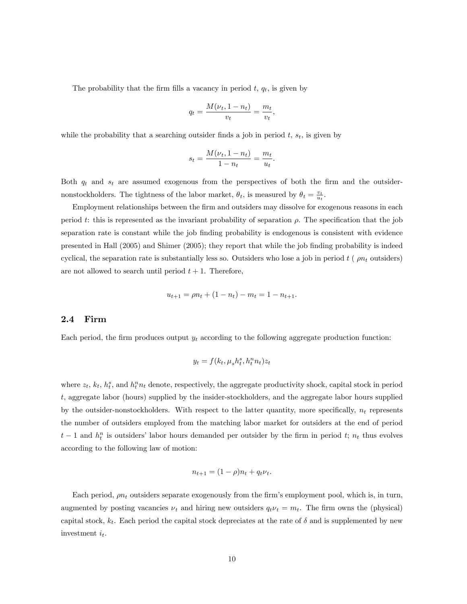The probability that the firm fills a vacancy in period  $t, q_t$ , is given by

$$
q_t = \frac{M(\nu_t, 1 - n_t)}{v_t} = \frac{m_t}{v_t},
$$

while the probability that a searching outsider finds a job in period  $t$ ,  $s_t$ , is given by

$$
s_t = \frac{M(\nu_t, 1 - n_t)}{1 - n_t} = \frac{m_t}{u_t}.
$$

Both  $q_t$  and  $s_t$  are assumed exogenous from the perspectives of both the firm and the outsidernonstockholders. The tightness of the labor market,  $\theta_t$ , is measured by  $\theta_t = \frac{v_t}{u_t}$ .

Employment relationships between the firm and outsiders may dissolve for exogenous reasons in each period t: this is represented as the invariant probability of separation  $\rho$ . The specification that the job separation rate is constant while the job finding probability is endogenous is consistent with evidence presented in Hall (2005) and Shimer (2005); they report that while the job Önding probability is indeed cyclical, the separation rate is substantially less so. Outsiders who lose a job in period  $t$  ( $\rho n_t$  outsiders) are not allowed to search until period  $t + 1$ . Therefore,

$$
u_{t+1} = \rho n_t + (1 - n_t) - m_t = 1 - n_{t+1}.
$$

#### 2.4 Firm

Each period, the firm produces output  $y_t$  according to the following aggregate production function:

$$
y_t = f(k_t, \mu_s h_t^s, h_t^n n_t) z_t
$$

where  $z_t$ ,  $k_t$ ,  $h_t^s$ , and  $h_t^n n_t$  denote, respectively, the aggregate productivity shock, capital stock in period t, aggregate labor (hours) supplied by the insider-stockholders, and the aggregate labor hours supplied by the outsider-nonstockholders. With respect to the latter quantity, more specifically,  $n_t$  represents the number of outsiders employed from the matching labor market for outsiders at the end of period  $t-1$  and  $h_t^n$  is outsiders' labor hours demanded per outsider by the firm in period t;  $n_t$  thus evolves according to the following law of motion:

$$
n_{t+1} = (1 - \rho)n_t + q_t \nu_t.
$$

Each period,  $\rho n_t$  outsiders separate exogenously from the firm's employment pool, which is, in turn, augmented by posting vacancies  $\nu_t$  and hiring new outsiders  $q_t \nu_t = m_t$ . The firm owns the (physical) capital stock,  $k_t$ . Each period the capital stock depreciates at the rate of  $\delta$  and is supplemented by new investment  $i_t$ .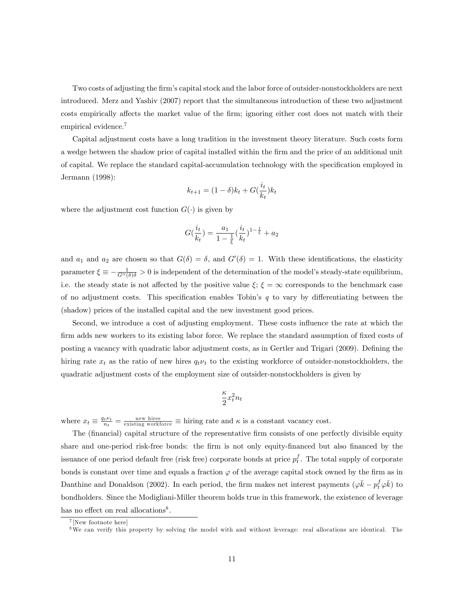Two costs of adjusting the firm's capital stock and the labor force of outsider-nonstockholders are next introduced. Merz and Yashiv (2007) report that the simultaneous introduction of these two adjustment costs empirically affects the market value of the firm; ignoring either cost does not match with their empirical evidence.<sup>7</sup>

Capital adjustment costs have a long tradition in the investment theory literature. Such costs form a wedge between the shadow price of capital installed within the firm and the price of an additional unit of capital. We replace the standard capital-accumulation technology with the specification employed in Jermann (1998):

$$
k_{t+1} = (1 - \delta)k_t + G(\frac{i_t}{k_t})k_t
$$

where the adjustment cost function  $G(\cdot)$  is given by

$$
G(\frac{i_t}{k_t})=\frac{a_1}{1-\frac{1}{\xi}}(\frac{i_t}{k_t})^{1-\frac{1}{\xi}}+a_2
$$

and  $a_1$  and  $a_2$  are chosen so that  $G(\delta) = \delta$ , and  $G'(\delta) = 1$ . With these identifications, the elasticity parameter  $\xi \equiv -\frac{1}{G''(\delta)\delta} > 0$  is independent of the determination of the model's steady-state equilibrium, i.e. the steady state is not affected by the positive value  $\xi$ ;  $\xi = \infty$  corresponds to the benchmark case of no adjustment costs. This specification enables Tobin's  $q$  to vary by differentiating between the (shadow) prices of the installed capital and the new investment good prices.

Second, we introduce a cost of adjusting employment. These costs ináuence the rate at which the firm adds new workers to its existing labor force. We replace the standard assumption of fixed costs of posting a vacancy with quadratic labor adjustment costs, as in Gertler and Trigari (2009). Defining the hiring rate  $x_t$  as the ratio of new hires  $q_t \nu_t$  to the existing workforce of outsider-nonstockholders, the quadratic adjustment costs of the employment size of outsider-nonstockholders is given by

$$
\frac{\kappa}{2} x_t^2 n_t
$$

where  $x_t \equiv \frac{q_t \nu_t}{n_t} = \frac{\text{new wires}}{\text{existing working}}$  is hiring rate and  $\kappa$  is a constant vacancy cost.

The (financial) capital structure of the representative firm consists of one perfectly divisible equity share and one-period risk-free bonds: the firm is not only equity-financed but also financed by the issuance of one period default free (risk free) corporate bonds at price  $p_t^f$ . The total supply of corporate bonds is constant over time and equals a fraction  $\varphi$  of the average capital stock owned by the firm as in Danthine and Donaldson (2002). In each period, the firm makes net interest payments  $(\varphi \bar{k} - p_t^f \varphi \bar{k})$  to bondholders. Since the Modigliani-Miller theorem holds true in this framework, the existence of leverage has no effect on real allocations<sup>8</sup>.

<sup>7</sup> [New footnote here]

<sup>8</sup>We can verify this property by solving the model with and without leverage: real allocations are identical. The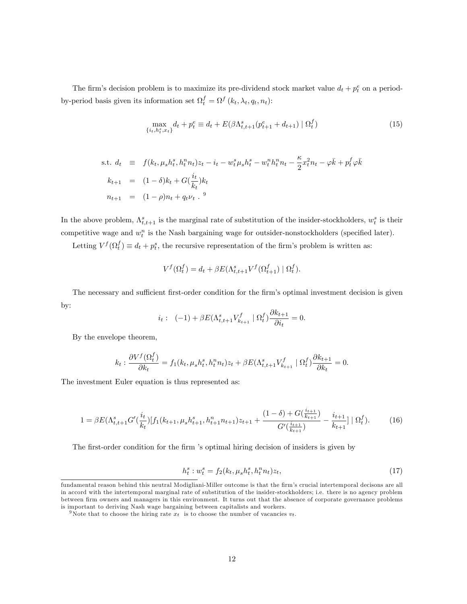The firm's decision problem is to maximize its pre-dividend stock market value  $d_t + p_t^e$  on a periodby-period basis given its information set  $\Omega_t^f = \Omega^f (k_t, \lambda_t, q_t, n_t)$ :

$$
\max_{\{i_t, h_t^s, x_t\}} d_t + p_t^e \equiv d_t + E(\beta \Lambda_{t,t+1}^s (p_{t+1}^e + d_{t+1}) \mid \Omega_t^f)
$$
\n(15)

s.t. 
$$
d_t \equiv f(k_t, \mu_s h_t^s, h_t^n n_t) z_t - i_t - w_t^s \mu_s h_t^s - w_t^n h_t^n n_t - \frac{\kappa}{2} x_t^2 n_t - \varphi \bar{k} + p_t^f \varphi \bar{k}
$$
  
\n $k_{t+1} = (1 - \delta) k_t + G(\frac{i_t}{k_t}) k_t$   
\n $n_{t+1} = (1 - \rho) n_t + q_t \nu_t$ .<sup>9</sup>

In the above problem,  $\Lambda_{t,t+1}^s$  is the marginal rate of substitution of the insider-stockholders,  $w_t^s$  is their competitive wage and  $w_t^n$  is the Nash bargaining wage for outsider-nonstockholders (specified later).

Letting  $V^f(\Omega_t^f) \equiv d_t + p_t^s$ , the recursive representation of the firm's problem is written as:

$$
V^f(\Omega_t^f) = d_t + \beta E(\Lambda_{t,t+1}^s V^f(\Omega_{t+1}^f) | \Omega_t^f).
$$

The necessary and sufficient first-order condition for the firm's optimal investment decision is given by:

$$
i_t
$$
:  $(-1) + \beta E(\Lambda_{t,t+1}^s V_{k_{t+1}}^f | \Omega_t^f) \frac{\partial k_{t+1}}{\partial i_t} = 0.$ 

By the envelope theorem,

$$
k_t: \frac{\partial V^f(\Omega_t^f)}{\partial k_t} = f_1(k_t, \mu_s h_t^s, h_t^n n_t) z_t + \beta E(\Lambda_{t,t+1}^s V_{k_{t+1}}^f \mid \Omega_t^f) \frac{\partial k_{t+1}}{\partial k_t} = 0.
$$

The investment Euler equation is thus represented as:

$$
1 = \beta E(\Lambda_{t,t+1}^s G'(\frac{i_t}{k_t}) [f_1(k_{t+1}, \mu_s h_{t+1}^s, h_{t+1}^n n_{t+1}) z_{t+1} + \frac{(1-\delta) + G(\frac{i_{t+1}}{k_{t+1}})}{G'(\frac{i_{t+1}}{k_{t+1}})} - \frac{i_{t+1}}{k_{t+1}}] |\Omega_t^f). \tag{16}
$$

The first-order condition for the firm 's optimal hiring decision of insiders is given by

$$
h_t^s : w_t^s = f_2(k_t, \mu_s h_t^s, h_t^n n_t) z_t,
$$
\n(17)

fundamental reason behind this neutral Modigliani-Miller outcome is that the firm's crucial intertemporal decisons are all in accord with the intertemporal marginal rate of substitution of the insider-stockholders; i.e. there is no agency problem between firm owners and managers in this environment. It turns out that the absence of corporate governance problems is important to deriving Nash wage bargaining between capitalists and workers.

<sup>&</sup>lt;sup>9</sup>Note that to choose the hiring rate  $x_t$  is to choose the number of vacancies  $v_t$ .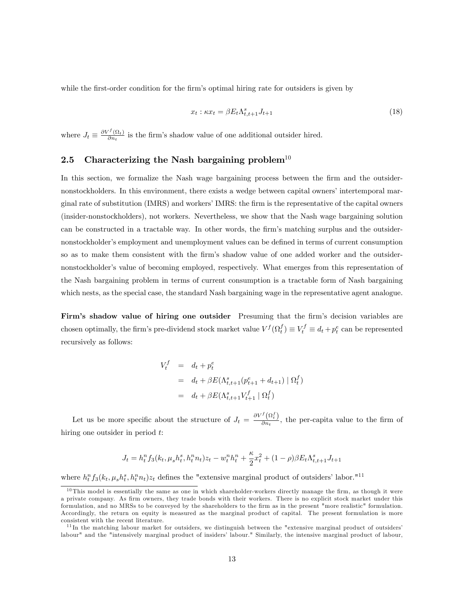while the first-order condition for the firm's optimal hiring rate for outsiders is given by

$$
x_t : \kappa x_t = \beta E_t \Lambda_{t,t+1}^s J_{t+1}
$$
\n<sup>(18)</sup>

where  $J_t \equiv \frac{\partial V^f(\Omega_t)}{\partial n_t}$  $\frac{\partial \{M_t\}}{\partial n_t}$  is the firm's shadow value of one additional outsider hired.

## 2.5 Characterizing the Nash bargaining problem<sup>10</sup>

In this section, we formalize the Nash wage bargaining process between the firm and the outsidernonstockholders. In this environment, there exists a wedge between capital owners' intertemporal marginal rate of substitution (IMRS) and workers' IMRS: the firm is the representative of the capital owners (insider-nonstockholders), not workers. Nevertheless, we show that the Nash wage bargaining solution can be constructed in a tractable way. In other words, the firm's matching surplus and the outsidernonstockholder's employment and unemployment values can be defined in terms of current consumption so as to make them consistent with the firm's shadow value of one added worker and the outsidernonstockholder's value of becoming employed, respectively. What emerges from this representation of the Nash bargaining problem in terms of current consumption is a tractable form of Nash bargaining which nests, as the special case, the standard Nash bargaining wage in the representative agent analogue.

Firm's shadow value of hiring one outsider Presuming that the firm's decision variables are chosen optimally, the firm's pre-dividend stock market value  $V^f(\Omega_t^f) \equiv V_t^f \equiv d_t + p_t^e$  can be represented recursively as follows:

$$
V_t^f = d_t + p_t^e
$$
  
=  $d_t + \beta E(\Lambda_{t,t+1}^s (p_{t+1}^e + d_{t+1}) | \Omega_t^f)$   
=  $d_t + \beta E(\Lambda_{t,t+1}^s V_{t+1}^f | \Omega_t^f)$ 

Let us be more specific about the structure of  $J_t = \frac{\partial V^f(\Omega_t^f)}{\partial n_t}$  $\frac{\sqrt{3}at}{\partial n_t}$ , the per-capita value to the firm of hiring one outsider in period t:

$$
J_t = h_t^n f_3(k_t, \mu_s h_t^s, h_t^n n_t) z_t - w_t^n h_t^n + \frac{\kappa}{2} x_t^2 + (1 - \rho) \beta E_t \Lambda_{t, t+1}^s J_{t+1}
$$

where  $h_t^n f_3(k_t, \mu_s h_t^s, h_t^n n_t) z_t$  defines the "extensive marginal product of outsiders' labor."<sup>11</sup>

 $10$  This model is essentially the same as one in which shareholder-workers directly manage the firm, as though it were a private company. As firm owners, they trade bonds with their workers. There is no explicit stock market under this formulation, and no MRSs to be conveyed by the shareholders to the firm as in the present "more realistic" formulation. Accordingly, the return on equity is measured as the marginal product of capital. The present formulation is more consistent with the recent literature.

 $11$ In the matching labour market for outsiders, we distinguish between the "extensive marginal product of outsiders' labour" and the "intensively marginal product of insiders' labour." Similarly, the intensive marginal product of labour,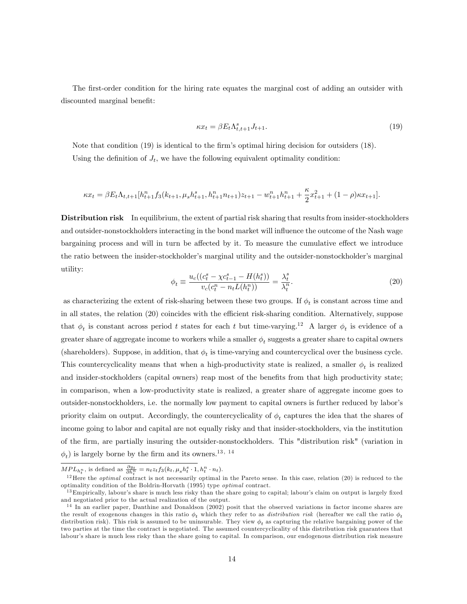The first-order condition for the hiring rate equates the marginal cost of adding an outsider with discounted marginal benefit:

$$
\kappa x_t = \beta E_t \Lambda_{t,t+1}^s J_{t+1}.\tag{19}
$$

Note that condition (19) is identical to the firm's optimal hiring decision for outsiders (18). Using the definition of  $J_t$ , we have the following equivalent optimality condition:

$$
\kappa x_t = \beta E_t \Lambda_{t,t+1} [h_{t+1}^n f_3(k_{t+1}, \mu_s h_{t+1}^s, h_{t+1}^n n_{t+1}) z_{t+1} - w_{t+1}^n h_{t+1}^n + \frac{\kappa}{2} x_{t+1}^2 + (1 - \rho) \kappa x_{t+1}].
$$

Distribution risk In equilibrium, the extent of partial risk sharing that results from insider-stockholders and outsider-nonstockholders interacting in the bond market will influence the outcome of the Nash wage bargaining process and will in turn be affected by it. To measure the cumulative effect we introduce the ratio between the insider-stockholder's marginal utility and the outsider-nonstockholder's marginal utility:

$$
\phi_t \equiv \frac{u_c((c_t^s - \chi c_{t-1}^s - H(h_t^s))}{v_c(c_t^n - n_t L(h_t^n))} = \frac{\lambda_t^s}{\lambda_t^n}.
$$
\n(20)

as characterizing the extent of risk-sharing between these two groups. If  $\phi_t$  is constant across time and in all states, the relation (20) coincides with the efficient risk-sharing condition. Alternatively, suppose that  $\phi_t$  is constant across period t states for each t but time-varying.<sup>12</sup> A larger  $\phi_t$  is evidence of a greater share of aggregate income to workers while a smaller  $\phi_t$  suggests a greater share to capital owners (shareholders). Suppose, in addition, that  $\phi_t$  is time-varying and countercyclical over the business cycle. This countercyclicality means that when a high-productivity state is realized, a smaller  $\phi_t$  is realized and insider-stockholders (capital owners) reap most of the benefits from that high productivity state; in comparison, when a low-productivity state is realized, a greater share of aggregate income goes to outsider-nonstockholders, i.e. the normally low payment to capital owners is further reduced by laborís priority claim on output. Accordingly, the countercyclicality of  $\phi_t$  captures the idea that the shares of income going to labor and capital are not equally risky and that insider-stockholders, via the institution of the Örm, are partially insuring the outsider-nonstockholders. This "distribution risk" (variation in  $\phi_t$ ) is largely borne by the firm and its owners.<sup>13, 14</sup>

 $MPL_{h_t^n}$ , is defined as  $\frac{\partial y_t}{\partial h_t^n} = n_t z_t f_3(k_t, \mu_s h_t^s \cdot 1, h_t^n \cdot n_t).$ 

<sup>&</sup>lt;sup>12</sup>Here the *optimal* contract is not necessarily optimal in the Pareto sense. In this case, relation (20) is reduced to the optimality condition of the Boldrin-Horvath (1995) type optimal contract.

 $^{13}$ Empirically, labour's share is much less risky than the share going to capital; labour's claim on output is largely fixed and negotiated prior to the actual realization of the output.

 $14$  In an earlier paper, Danthine and Donaldson (2002) posit that the observed variations in factor income shares are the result of exogenous changes in this ratio  $\phi_t$  which they refer to as *distribution risk* (hereafter we call the ratio  $\phi_t$ distribution risk). This risk is assumed to be uninsurable. They view  $\phi_t$  as capturing the relative bargaining power of the two parties at the time the contract is negotiated. The assumed countercyclicality of this distribution risk guarantees that labour's share is much less risky than the share going to capital. In comparison, our endogenous distribution risk measure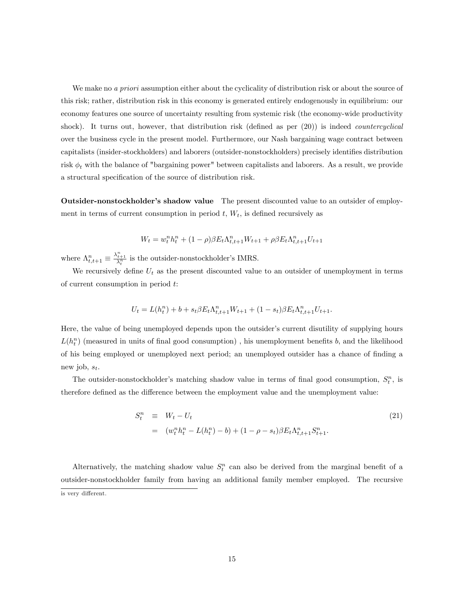We make no *a priori* assumption either about the cyclicality of distribution risk or about the source of this risk; rather, distribution risk in this economy is generated entirely endogenously in equilibrium: our economy features one source of uncertainty resulting from systemic risk (the economy-wide productivity shock). It turns out, however, that distribution risk (defined as per  $(20)$ ) is indeed *countercyclical* over the business cycle in the present model. Furthermore, our Nash bargaining wage contract between capitalists (insider-stockholders) and laborers (outsider-nonstockholders) precisely identifies distribution risk  $\phi_t$  with the balance of "bargaining power" between capitalists and laborers. As a result, we provide a structural specification of the source of distribution risk.

Outsider-nonstockholder's shadow value The present discounted value to an outsider of employment in terms of current consumption in period  $t$ ,  $W_t$ , is defined recursively as

$$
W_t = w_t^n h_t^n + (1 - \rho)\beta E_t \Lambda_{t,t+1}^n W_{t+1} + \rho \beta E_t \Lambda_{t,t+1}^n U_{t+1}
$$

where  $\Lambda_{t,t+1}^n \equiv \frac{\lambda_{t+1}^n}{\lambda_t^n}$  is the outsider-nonstockholder's IMRS.

We recursively define  $U_t$  as the present discounted value to an outsider of unemployment in terms of current consumption in period t:

$$
U_t = L(h_t^n) + b + s_t \beta E_t \Lambda_{t,t+1}^n W_{t+1} + (1 - s_t) \beta E_t \Lambda_{t,t+1}^n U_{t+1}.
$$

Here, the value of being unemployed depends upon the outsider's current disutility of supplying hours  $L(h_t^n)$  (measured in units of final good consumption), his unemployment benefits b, and the likelihood of his being employed or unemployed next period; an unemployed outsider has a chance of Önding a new job,  $s_t$ .

The outsider-nonstockholder's matching shadow value in terms of final good consumption,  $S_t^n$ , is therefore defined as the difference between the employment value and the unemployment value:

$$
S_t^n \equiv W_t - U_t
$$
  
=  $(w_t^n h_t^n - L(h_t^n) - b) + (1 - \rho - s_t) \beta E_t \Lambda_{t,t+1}^n S_{t+1}^n.$  (21)

Alternatively, the matching shadow value  $S_t^n$  can also be derived from the marginal benefit of a outsider-nonstockholder family from having an additional family member employed. The recursive is very different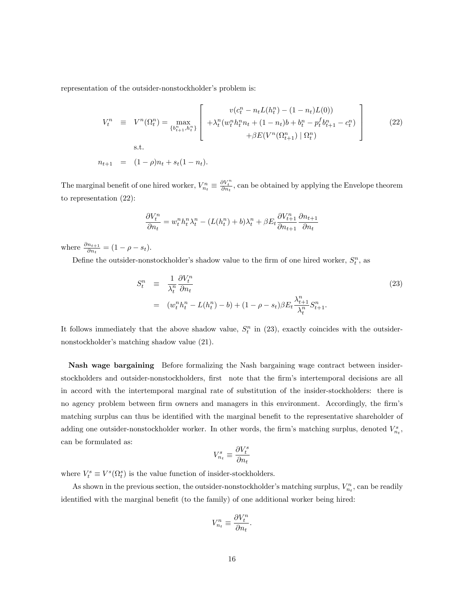representation of the outsider-nonstockholder's problem is:

$$
V_t^n \equiv V^n(\Omega_t^n) = \max_{\{b_{t+1}^n, b_t^n\}} \left[ \begin{array}{c} v(c_t^n - n_t L(h_t^n) - (1 - n_t)L(0)) \\ + \lambda_t^n (w_t^n h_t^n n_t + (1 - n_t)b + b_t^n - p_t^f b_{t+1}^n - c_t^n) \\ + \beta E(V^n(\Omega_{t+1}^n) | \Omega_t^n) \end{array} \right] \tag{22}
$$

 $n_{t+1} = (1 - \rho)n_t + s_t(1 - n_t).$ 

The marginal benefit of one hired worker,  $V_{n_t}^n \equiv \frac{\partial V_t^n}{\partial n_t}$ , can be obtained by applying the Envelope theorem to representation (22):

$$
\frac{\partial V_t^n}{\partial n_t} = w_t^n h_t^n \lambda_t^n - (L(h_t^n) + b)\lambda_t^n + \beta E_t \frac{\partial V_{t+1}^n}{\partial n_{t+1}} \frac{\partial n_{t+1}}{\partial n_t}
$$

where  $\frac{\partial n_{t+1}}{\partial n_t} = (1 - \rho - s_t).$ 

Define the outsider-nonstockholder's shadow value to the firm of one hired worker,  $S_t^n$ , as

$$
S_t^n \equiv \frac{1}{\lambda_t^n} \frac{\partial V_t^n}{\partial n_t}
$$
  
=  $(w_t^n h_t^n - L(h_t^n) - b) + (1 - \rho - s_t) \beta E_t \frac{\lambda_{t+1}^n}{\lambda_t^n} S_{t+1}^n.$  (23)

It follows immediately that the above shadow value,  $S_t^n$  in (23), exactly coincides with the outsidernonstockholder's matching shadow value  $(21)$ .

Nash wage bargaining Before formalizing the Nash bargaining wage contract between insiderstockholders and outsider-nonstockholders, first note that the firm's intertemporal decisions are all in accord with the intertemporal marginal rate of substitution of the insider-stockholders: there is no agency problem between firm owners and managers in this environment. Accordingly, the firm's matching surplus can thus be identified with the marginal benefit to the representative shareholder of adding one outsider-nonstockholder worker. In other words, the firm's matching surplus, denoted  $V_{n_t}^s$ , can be formulated as:

$$
V_{n_t}^s \equiv \frac{\partial V_t^s}{\partial n_t}
$$

where  $V_t^s \equiv V^s(\Omega_t^s)$  is the value function of insider-stockholders.

As shown in the previous section, the outsider-nonstockholder's matching surplus,  $V_{n_t}^n$ , can be readily identified with the marginal benefit (to the family) of one additional worker being hired:

$$
V_{n_t}^n \equiv \frac{\partial V_t^n}{\partial n_t}.
$$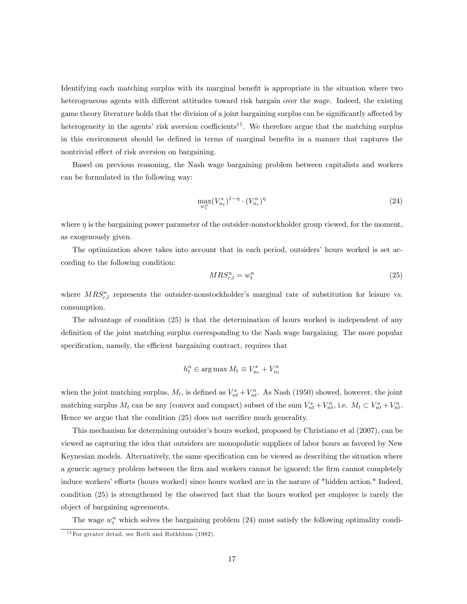Identifying each matching surplus with its marginal benefit is appropriate in the situation where two heterogeneous agents with different attitudes toward risk bargain over the wage. Indeed, the existing game theory literature holds that the division of a joint bargaining surplus can be significantly affected by heterogeneity in the agents' risk aversion coefficients<sup>15</sup>. We therefore argue that the matching surplus in this environment should be defined in terms of marginal benefits in a manner that captures the nontrivial effect of risk aversion on bargaining.

Based on previous reasoning, the Nash wage bargaining problem between capitalists and workers can be formulated in the following way:

$$
\max_{w_t^n} (V_{n_t}^s)^{1-\eta} \cdot (V_{n_t}^n)^{\eta} \tag{24}
$$

where  $\eta$  is the bargaining power parameter of the outsider-nonstockholder group viewed, for the moment, as exogenously given.

The optimization above takes into account that in each period, outsiders' hours worked is set according to the following condition:

$$
MRS_{c,l}^n = w_l^n \tag{25}
$$

where  $MRS_{c,l}^n$  represents the outsider-nonstockholder's marginal rate of substitution for leisure vs. consumption.

The advantage of condition (25) is that the determination of hours worked is independent of any definition of the joint matching surplus corresponding to the Nash wage bargaining. The more popular specification, namely, the efficient bargaining contract, requires that

$$
h_t^n \in \arg\max M_t \equiv V_{n_t}^s + V_{n_t}^n
$$

when the joint matching surplus,  $M_t$ , is defined as  $V_{nt}^s + V_{nt}^n$ . As Nash (1950) showed, however, the joint matching surplus  $M_t$  can be any (convex and compact) subset of the sum  $V_{nt}^s + V_{nt}^n$ , i.e.  $M_t \subset V_{nt}^s + V_{nt}^n$ . Hence we argue that the condition  $(25)$  does not sacrifice much generality.

This mechanism for determining outsider's hours worked, proposed by Christiano et al (2007), can be viewed as capturing the idea that outsiders are monopolistic suppliers of labor hours as favored by New Keynesian models. Alternatively, the same specification can be viewed as describing the situation where a generic agency problem between the firm and workers cannot be ignored; the firm cannot completely induce workers' efforts (hours worked) since hours worked are in the nature of "hidden action." Indeed, condition (25) is strengthened by the observed fact that the hours worked per employee is rarely the object of bargaining agreements.

The wage  $w_t^n$  which solves the bargaining problem (24) must satisfy the following optimality condi-

 $15$  For greater detail, see Roth and Rothblum (1982).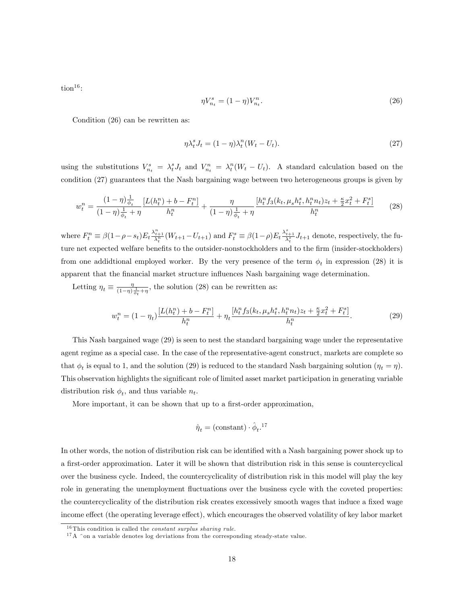$\text{tion}^{16}$ :

$$
\eta V_{n_t}^s = (1 - \eta) V_{n_t}^n. \tag{26}
$$

Condition (26) can be rewritten as:

$$
\eta \lambda_t^s J_t = (1 - \eta) \lambda_t^n (W_t - U_t). \tag{27}
$$

using the substitutions  $V_{n_t}^s = \lambda_t^s J_t$  and  $V_{n_t}^n = \lambda_t^n (W_t - U_t)$ . A standard calculation based on the condition (27) guarantees that the Nash bargaining wage between two heterogeneous groups is given by

$$
w_t^n = \frac{(1-\eta)\frac{1}{\phi_t}}{(1-\eta)\frac{1}{\phi_t} + \eta} \frac{[L(h_t^n) + b - F_t^n]}{h_t^n} + \frac{\eta}{(1-\eta)\frac{1}{\phi_t} + \eta} \frac{[h_t^n f_3(k_t, \mu_s h_t^s, h_t^n n_t)z_t + \frac{\kappa}{2}x_t^2 + F_t^s]}{h_t^n}
$$
(28)

where  $F_t^n \equiv \beta(1-\rho-s_t)E_t \frac{\lambda_{t+1}^n}{\lambda_t^n}(W_{t+1}-U_{t+1})$  and  $F_t^s \equiv \beta(1-\rho)E_t \frac{\lambda_{t+1}^s}{\lambda_t^n}J_{t+1}$  denote, respectively, the future net expected welfare benefits to the outsider-nonstockholders and to the firm (insider-stockholders) from one addidtional employed worker. By the very presence of the term  $\phi_t$  in expression (28) it is apparent that the Önancial market structure ináuences Nash bargaining wage determination.

Letting  $\eta_t \equiv \frac{\eta}{(1-\eta)}$  $\frac{\eta}{(1-\eta)\frac{1}{\phi_t}+\eta}$ , the solution (28) can be rewritten as:

$$
w_t^n = (1 - \eta_t) \frac{[L(h_t^n) + b - F_t^n]}{h_t^n} + \eta_t \frac{[h_t^n f_3(k_t, \mu_s h_t^s, h_t^n n_t) z_t + \frac{\kappa}{2} x_t^2 + F_t^s]}{h_t^n}.
$$
 (29)

This Nash bargained wage (29) is seen to nest the standard bargaining wage under the representative agent regime as a special case. In the case of the representative-agent construct, markets are complete so that  $\phi_t$  is equal to 1, and the solution (29) is reduced to the standard Nash bargaining solution  $(\eta_t = \eta)$ . This observation highlights the significant role of limited asset market participation in generating variable distribution risk  $\phi_t$ , and thus variable  $n_t$ .

More important, it can be shown that up to a first-order approximation,

$$
\hat{\eta}_t = (\text{constant}) \cdot \hat{\phi}_t.^{17}
$$

In other words, the notion of distribution risk can be identified with a Nash bargaining power shock up to a first-order approximation. Later it will be shown that distribution risk in this sense is countercyclical over the business cycle. Indeed, the countercyclicality of distribution risk in this model will play the key role in generating the unemployment fluctuations over the business cycle with the coveted properties: the countercyclicality of the distribution risk creates excessively smooth wages that induce a fixed wage income effect (the operating leverage effect), which encourages the observed volatility of key labor market

 $^{16}{\rm This}$  condition is called the *constant surplus sharing rule.* 

 $17 A$   $\degree$  on a variable denotes log deviations from the corresponding steady-state value.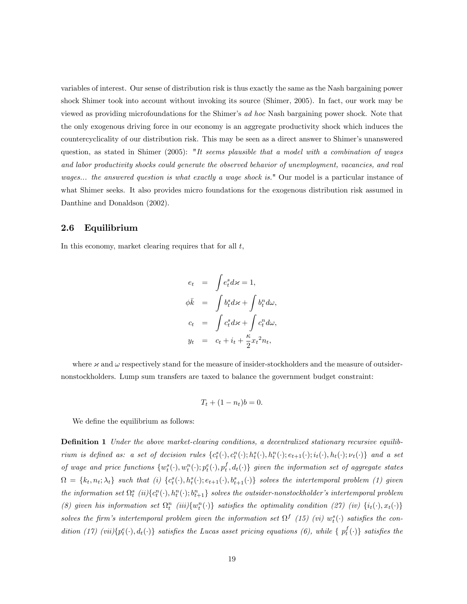variables of interest. Our sense of distribution risk is thus exactly the same as the Nash bargaining power shock Shimer took into account without invoking its source (Shimer, 2005). In fact, our work may be viewed as providing microfoundations for the Shimer's ad hoc Nash bargaining power shock. Note that the only exogenous driving force in our economy is an aggregate productivity shock which induces the countercyclicality of our distribution risk. This may be seen as a direct answer to Shimer's unanswered question, as stated in Shimer (2005): "It seems plausible that a model with a combination of wages and labor productivity shocks could generate the observed behavior of unemployment, vacancies, and real wages... the answered question is what exactly a wage shock is." Our model is a particular instance of what Shimer seeks. It also provides micro foundations for the exogenous distribution risk assumed in Danthine and Donaldson (2002).

## 2.6 Equilibrium

In this economy, market clearing requires that for all  $t$ ,

$$
e_t = \int e_t^s d\mathbf{x} = 1,
$$
  
\n
$$
\phi \bar{k} = \int b_t^s d\mathbf{x} + \int b_t^n d\omega,
$$
  
\n
$$
c_t = \int c_t^s d\mathbf{x} + \int c_t^n d\omega,
$$
  
\n
$$
y_t = c_t + i_t + \frac{\kappa}{2} x_t^2 n_t,
$$

where  $\times$  and  $\omega$  respectively stand for the measure of insider-stockholders and the measure of outsidernonstockholders. Lump sum transfers are taxed to balance the government budget constraint:

$$
T_t + (1 - n_t)b = 0.
$$

We define the equilibrium as follows:

**Definition 1** Under the above market-clearing conditions, a decentralized stationary recursive equilibrium is defined as: a set of decision rules  $\{c_t^s(\cdot), c_t^n(\cdot); h_t^s(\cdot), h_t^n(\cdot); e_{t+1}(\cdot); i_t(\cdot), h_t(\cdot); \nu_t(\cdot)\}$  and a set of wage and price functions  $\{w_t^s(\cdot), w_t^n(\cdot); p_t^e(\cdot), p_t^f, d_t(\cdot)\}\$  given the information set of aggregate states  $\Omega = \{k_t, n_t; \lambda_t\}$  such that (i)  $\{c_t^s(\cdot), h_t^s(\cdot); e_{t+1}(\cdot), b_{t+1}^s(\cdot)\}$  solves the intertemporal problem (1) given the information set  $\Omega_t^s$  (ii) $\{c_t^n(\cdot), h_t^n(\cdot); b_{t+1}^n\}$  solves the outsider-nonstockholder's intertemporal problem (8) given his information set  $\Omega_t^n$  (iii) $\{w_t^n(\cdot)\}$  satisfies the optimality condition (27) (iv)  $\{i_t(\cdot), x_t(\cdot)\}$ solves the firm's intertemporal problem given the information set  $\Omega^f$  (15) (vi)  $w_t^s(\cdot)$  satisfies the condition (17) (vii) $\{p_t^e(\cdot), d_t(\cdot)\}\$  satisfies the Lucas asset pricing equations (6), while  $\{p_t^f(\cdot)\}\$  satisfies the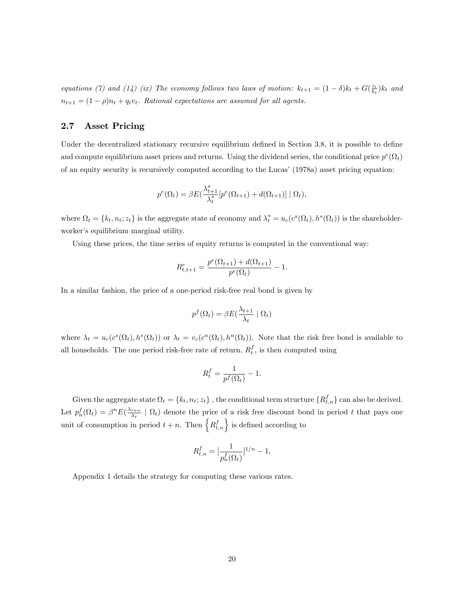equations (7) and (14) (ix) The economy follows two laws of motion:  $k_{t+1} = (1 - \delta)k_t + G(\frac{i_t}{k_t})k_t$  and  $n_{t+1} = (1 - \rho)n_t + q_t v_t$ . Rational expectations are assumed for all agents.

## 2.7 Asset Pricing

Under the decentralized stationary recursive equilibrium defined in Section 3.8, it is possible to define and compute equilibrium asset prices and returns. Using the dividend series, the conditional price  $p^e(\Omega_t)$ of an equity security is recursively computed according to the Lucas' (1978a) asset pricing equation:

$$
p^{e}(\Omega_{t}) = \beta E\left(\frac{\lambda_{t+1}^{s}}{\lambda_{t}^{s}}\left[p^{e}(\Omega_{t+1}) + d(\Omega_{t+1})\right] \mid \Omega_{t}\right),
$$

where  $\Omega_t = \{k_t, n_t; z_t\}$  is the aggregate state of economy and  $\lambda_t^s = u_c(c^s(\Omega_t), h^s(\Omega_t))$  is the shareholderworker's equilibrium marginal utility.

Using these prices, the time series of equity returns is computed in the conventional way:

$$
R_{t,t+1}^{e} = \frac{p^{e}(\Omega_{t+1}) + d(\Omega_{t+1})}{p^{e}(\Omega_{t})} - 1.
$$

In a similar fashion, the price of a one-period risk-free real bond is given by

$$
p^{f}(\Omega_t) = \beta E(\frac{\lambda_{t+1}}{\lambda_t} | \Omega_t)
$$

where  $\lambda_t = u_c(c^s(\Omega_t), h^s(\Omega_t))$  or  $\lambda_t = v_c(c^n(\Omega_t), h^n(\Omega_t))$ . Note that the risk free bond is available to all households. The one period risk-free rate of return,  $R_t^f$ , is then computed using

$$
R_t^f = \frac{1}{p^f(\Omega_t)} - 1.
$$

Given the aggregate state  $\Omega_t = \{k_t, n_t; z_t\}$ , the conditional term structure  $\{R_{t,n}^f\}$  can also be derived. Let  $p_n^f(\Omega_t) = \beta^n E(\frac{\lambda_{t+n}}{\lambda_t})$  $\frac{t+n}{\lambda_t} \mid \Omega_t$  denote the price of a risk free discount bond in period t that pays one unit of consumption in period  $t + n$ . Then  $\{R_{t,n}^f\}$  is defined according to

$$
R_{t,n}^{f} = \left[\frac{1}{p_n^f(\Omega_t)}\right]^{1/n} - 1,
$$

Appendix 1 details the strategy for computing these various rates.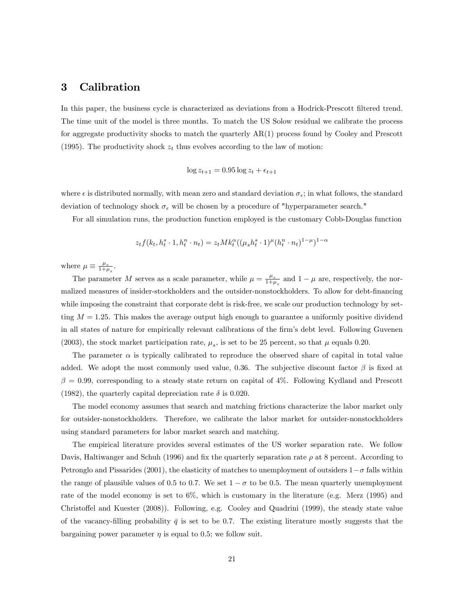## 3 Calibration

In this paper, the business cycle is characterized as deviations from a Hodrick-Prescott filtered trend. The time unit of the model is three months. To match the US Solow residual we calibrate the process for aggregate productivity shocks to match the quarterly AR(1) process found by Cooley and Prescott (1995). The productivity shock  $z_t$  thus evolves according to the law of motion:

$$
\log z_{t+1} = 0.95 \log z_t + \epsilon_{t+1}
$$

where  $\epsilon$  is distributed normally, with mean zero and standard deviation  $\sigma_{\epsilon}$ ; in what follows, the standard deviation of technology shock  $\sigma_{\epsilon}$  will be chosen by a procedure of "hyperparameter search."

For all simulation runs, the production function employed is the customary Cobb-Douglas function

$$
z_t f(k_t, h_t^s \cdot 1, h_t^n \cdot n_t) = z_t M k_t^{\alpha} ((\mu_s h_t^s \cdot 1)^{\mu} (h_t^n \cdot n_t)^{1-\mu})^{1-\alpha}
$$

where  $\mu \equiv \frac{\mu_s}{1+\mu}$  $\frac{\mu_s}{1+\mu_s}$ .

The parameter M serves as a scale parameter, while  $\mu = \frac{\mu_s}{1+\mu}$  $\frac{\mu_s}{1+\mu_s}$  and  $1-\mu$  are, respectively, the normalized measures of insider-stockholders and the outsider-nonstockholders. To allow for debt-financing while imposing the constraint that corporate debt is risk-free, we scale our production technology by setting  $M = 1.25$ . This makes the average output high enough to guarantee a uniformly positive dividend in all states of nature for empirically relevant calibrations of the firm's debt level. Following Guvenen (2003), the stock market participation rate,  $\mu_s$ , is set to be 25 percent, so that  $\mu$  equals 0.20.

The parameter  $\alpha$  is typically calibrated to reproduce the observed share of capital in total value added. We adopt the most commonly used value, 0.36. The subjective discount factor  $\beta$  is fixed at  $\beta = 0.99$ , corresponding to a steady state return on capital of 4%. Following Kydland and Prescott (1982), the quarterly capital depreciation rate  $\delta$  is 0.020.

The model economy assumes that search and matching frictions characterize the labor market only for outsider-nonstockholders. Therefore, we calibrate the labor market for outsider-nonstockholders using standard parameters for labor market search and matching.

The empirical literature provides several estimates of the US worker separation rate. We follow Davis, Haltiwanger and Schuh (1996) and fix the quarterly separation rate  $\rho$  at 8 percent. According to Petronglo and Pissarides (2001), the elasticity of matches to unemployment of outsiders  $1-\sigma$  falls within the range of plausible values of 0.5 to 0.7. We set  $1-\sigma$  to be 0.5. The mean quarterly unemployment rate of the model economy is set to 6%, which is customary in the literature (e.g. Merz (1995) and Christoffel and Kuester (2008)). Following, e.g. Cooley and Quadrini (1999), the steady state value of the vacancy-filling probability  $\bar{q}$  is set to be 0.7. The existing literature mostly suggests that the bargaining power parameter  $\eta$  is equal to 0.5; we follow suit.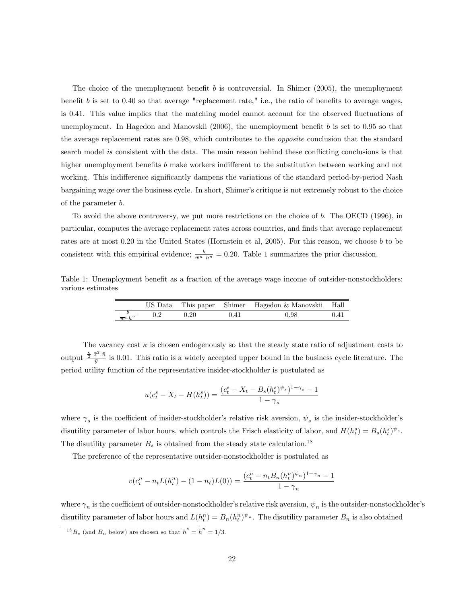The choice of the unemployment benefit b is controversial. In Shimer (2005), the unemployment benefit  $b$  is set to 0.40 so that average "replacement rate," i.e., the ratio of benefits to average wages, is 0.41. This value implies that the matching model cannot account for the observed fluctuations of unemployment. In Hagedon and Manovskii  $(2006)$ , the unemployment benefit b is set to 0.95 so that the average replacement rates are 0.98, which contributes to the opposite conclusion that the standard search model is consistent with the data. The main reason behind these conflicting conclusions is that higher unemployment benefits  $b$  make workers indifferent to the substitution between working and not working. This indifference significantly dampens the variations of the standard period-by-period Nash bargaining wage over the business cycle. In short, Shimer's critique is not extremely robust to the choice of the parameter b.

To avoid the above controversy, we put more restrictions on the choice of b. The OECD (1996), in particular, computes the average replacement rates across countries, and finds that average replacement rates are at most 0.20 in the United States (Hornstein et al, 2005). For this reason, we choose b to be consistent with this empirical evidence;  $\frac{b}{\bar{w}^n} = 0.20$ . Table 1 summarizes the prior discussion.

Table 1: Unemployment benefit as a fraction of the average wage income of outsider-nonstockholders: various estimates

|                                        |            | US Data This paper Shimer Hagedon & Manovskii Hall |  |
|----------------------------------------|------------|----------------------------------------------------|--|
| $\frac{b}{\overline{m}n\overline{b}n}$ | $\rm 0.20$ | 0.98                                               |  |

The vacancy cost  $\kappa$  is chosen endogenously so that the steady state ratio of adjustment costs to output  $\frac{\frac{\kappa}{2} \bar{x}^2 \bar{n}}{\bar{n}}$  $\frac{y}{\bar{y}}$  is 0.01. This ratio is a widely accepted upper bound in the business cycle literature. The period utility function of the representative insider-stockholder is postulated as

$$
u(c_t^s - X_t - H(h_t^s)) = \frac{(c_t^s - X_t - B_s(h_t^s)^{\psi_s})^{1-\gamma_s} - 1}{1 - \gamma_s}
$$

where  $\gamma_s$  is the coefficient of insider-stockholder's relative risk aversion,  $\psi_s$  is the insider-stockholder's disutility parameter of labor hours, which controls the Frisch elasticity of labor, and  $H(h_t^s) = B_s(h_t^s)^{\psi_s}$ . The disutility parameter  $B_s$  is obtained from the steady state calculation.<sup>18</sup>

The preference of the representative outsider-nonstockholder is postulated as

$$
v(c_t^n - n_t L(h_t^n) - (1 - n_t)L(0)) = \frac{(c_t^n - n_t B_n(h_t^n)^{\psi_n})^{1 - \gamma_n} - 1}{1 - \gamma_n}
$$

where  $\gamma_n$  is the coefficient of outsider-nonstockholder's relative risk aversion,  $\psi_n$  is the outsider-nonstockholder's disutility parameter of labor hours and  $L(h_t^n) = B_n(h_t^n)^{\psi_n}$ . The disutility parameter  $B_n$  is also obtained

<sup>&</sup>lt;sup>18</sup> $B_s$  (and  $B_n$  below) are chosen so that  $\overline{h}^s = \overline{h}^n = 1/3$ .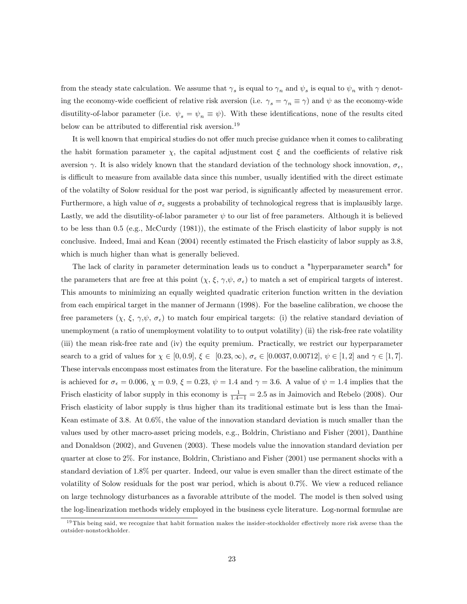from the steady state calculation. We assume that  $\gamma_s$  is equal to  $\gamma_n$  and  $\psi_s$  is equal to  $\psi_n$  with  $\gamma$  denoting the economy-wide coefficient of relative risk aversion (i.e.  $\gamma_s = \gamma_n \equiv \gamma$ ) and  $\psi$  as the economy-wide disutility-of-labor parameter (i.e.  $\psi_s = \psi_n \equiv \psi$ ). With these identifications, none of the results cited below can be attributed to differential risk aversion.<sup>19</sup>

It is well known that empirical studies do not offer much precise guidance when it comes to calibrating the habit formation parameter  $\chi$ , the capital adjustment cost  $\xi$  and the coefficients of relative risk aversion  $\gamma$ . It is also widely known that the standard deviation of the technology shock innovation,  $\sigma_{\epsilon}$ , is difficult to measure from available data since this number, usually identified with the direct estimate of the volatilty of Solow residual for the post war period, is significantly affected by measurement error. Furthermore, a high value of  $\sigma_{\epsilon}$  suggests a probability of technological regress that is implausibly large. Lastly, we add the disutility-of-labor parameter  $\psi$  to our list of free parameters. Although it is believed to be less than 0.5 (e.g., McCurdy (1981)), the estimate of the Frisch elasticity of labor supply is not conclusive. Indeed, Imai and Kean (2004) recently estimated the Frisch elasticity of labor supply as 3.8, which is much higher than what is generally believed.

The lack of clarity in parameter determination leads us to conduct a "hyperparameter search" for the parameters that are free at this point  $(\chi, \xi, \gamma, \psi, \sigma_{\epsilon})$  to match a set of empirical targets of interest. This amounts to minimizing an equally weighted quadratic criterion function written in the deviation from each empirical target in the manner of Jermann (1998). For the baseline calibration, we choose the free parameters  $(\chi, \xi, \gamma, \psi, \sigma_{\epsilon})$  to match four empirical targets: (i) the relative standard deviation of unemployment (a ratio of unemployment volatility to to output volatility) (ii) the risk-free rate volatility (iii) the mean risk-free rate and (iv) the equity premium. Practically, we restrict our hyperparameter search to a grid of values for  $\chi \in [0, 0.9], \xi \in [0.23, \infty), \sigma_{\epsilon} \in [0.0037, 0.00712], \psi \in [1, 2]$  and  $\gamma \in [1, 7]$ . These intervals encompass most estimates from the literature. For the baseline calibration, the minimum is achieved for  $\sigma_{\epsilon} = 0.006$ ,  $\chi = 0.9$ ,  $\xi = 0.23$ ,  $\psi = 1.4$  and  $\gamma = 3.6$ . A value of  $\psi = 1.4$  implies that the Frisch elasticity of labor supply in this economy is  $\frac{1}{1.4-1} = 2.5$  as in Jaimovich and Rebelo (2008). Our Frisch elasticity of labor supply is thus higher than its traditional estimate but is less than the Imai-Kean estimate of 3.8. At 0.6%, the value of the innovation standard deviation is much smaller than the values used by other macro-asset pricing models, e.g., Boldrin, Christiano and Fisher (2001), Danthine and Donaldson (2002), and Guvenen (2003). These models value the innovation standard deviation per quarter at close to 2%. For instance, Boldrin, Christiano and Fisher (2001) use permanent shocks with a standard deviation of 1.8% per quarter. Indeed, our value is even smaller than the direct estimate of the volatility of Solow residuals for the post war period, which is about 0.7%. We view a reduced reliance on large technology disturbances as a favorable attribute of the model. The model is then solved using the log-linearization methods widely employed in the business cycle literature. Log-normal formulae are

 $19$ This being said, we recognize that habit formation makes the insider-stockholder effectively more risk averse than the outsider-nonstockholder.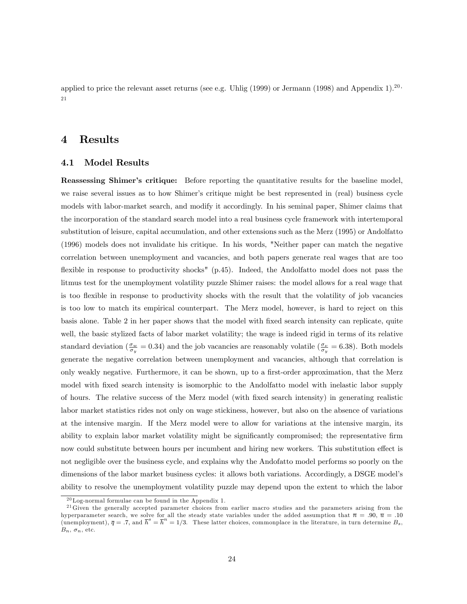applied to price the relevant asset returns (see e.g. Uhlig (1999) or Jermann (1998) and Appendix 1).<sup>20</sup> 21

## 4 Results

#### 4.1 Model Results

**Reassessing Shimer's critique:** Before reporting the quantitative results for the baseline model, we raise several issues as to how Shimer's critique might be best represented in (real) business cycle models with labor-market search, and modify it accordingly. In his seminal paper, Shimer claims that the incorporation of the standard search model into a real business cycle framework with intertemporal substitution of leisure, capital accumulation, and other extensions such as the Merz (1995) or Andolfatto (1996) models does not invalidate his critique. In his words, "Neither paper can match the negative correlation between unemployment and vacancies, and both papers generate real wages that are too flexible in response to productivity shocks" (p.45). Indeed, the Andolfatto model does not pass the litmus test for the unemployment volatility puzzle Shimer raises: the model allows for a real wage that is too áexible in response to productivity shocks with the result that the volatility of job vacancies is too low to match its empirical counterpart. The Merz model, however, is hard to reject on this basis alone. Table 2 in her paper shows that the model with Öxed search intensity can replicate, quite well, the basic stylized facts of labor market volatility; the wage is indeed rigid in terms of its relative standard deviation ( $\frac{\sigma_w}{\sigma_y}$  = 0.34) and the job vacancies are reasonably volatile ( $\frac{\sigma_\nu}{\sigma_y}$  = 6.38). Both models generate the negative correlation between unemployment and vacancies, although that correlation is only weakly negative. Furthermore, it can be shown, up to a first-order approximation, that the Merz model with fixed search intensity is isomorphic to the Andolfatto model with inelastic labor supply of hours. The relative success of the Merz model (with Öxed search intensity) in generating realistic labor market statistics rides not only on wage stickiness, however, but also on the absence of variations at the intensive margin. If the Merz model were to allow for variations at the intensive margin, its ability to explain labor market volatility might be significantly compromised; the representative firm now could substitute between hours per incumbent and hiring new workers. This substitution effect is not negligible over the business cycle, and explains why the Andofatto model performs so poorly on the dimensions of the labor market business cycles: it allows both variations. Accordingly, a DSGE model's ability to resolve the unemployment volatility puzzle may depend upon the extent to which the labor

 $^{20}\mathrm{Log}\textrm{-}$  normal formulae can be found in the Appendix 1.

<sup>&</sup>lt;sup>21</sup> Given the generally accepted parameter choices from earlier macro studies and the parameters arising from the hyperparameter search, we solve for all the steady state variables under the added assumption that  $\overline{n} = .90, \overline{u} = .10$ (unemployment),  $\overline{q} = .7$ , and  $\overline{h}^s = \overline{h}^n = 1/3$ . These latter choices, commonplace in the literature, in turn determine  $B_s$ ,  $B_n$ ,  $\sigma_n$ , etc.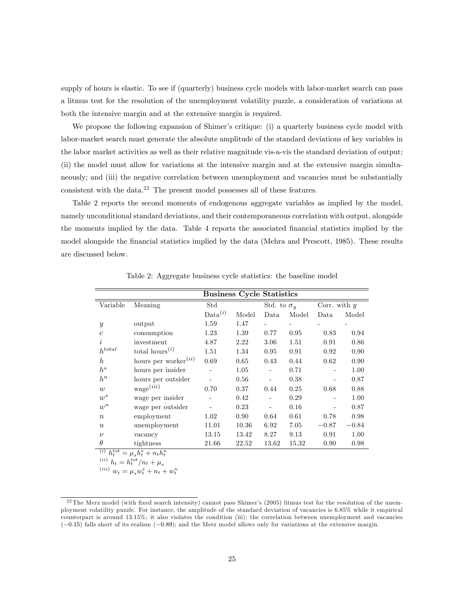supply of hours is elastic. To see if (quarterly) business cycle models with labor-market search can pass a litmus test for the resolution of the unemployment volatility puzzle, a consideration of variations at both the intensive margin and at the extensive margin is required.

We propose the following expansion of Shimer's critique: (i) a quarterly business cycle model with labor-market search must generate the absolute amplitude of the standard deviations of key variables in the labor market activities as well as their relative magnitude vis-a-vis the standard deviation of output; (ii) the model must allow for variations at the intensive margin and at the extensive margin simultaneously; and (iii) the negative correlation between unemployment and vacancies must be substantially consistent with the data.<sup>22</sup> The present model possesses all of these features.

Table 2 reports the second moments of endogenous aggregate variables as implied by the model, namely unconditional standard deviations, and their contemporaneous correlation with output, alongside the moments implied by the data. Table 4 reports the associated Önancial statistics implied by the model alongside the financial statistics implied by the data (Mehra and Prescott, 1985). These results are discussed below.

|                  |                                         |                     | <b>Business Cycle Statistics</b> |                    |       |                |         |
|------------------|-----------------------------------------|---------------------|----------------------------------|--------------------|-------|----------------|---------|
| Variable         | Meaning                                 | Std                 |                                  | Std. to $\sigma_u$ |       | Corr. with $y$ |         |
|                  |                                         | Data <sup>(i)</sup> | Model                            | Data               | Model | Data           | Model   |
| $\mathcal{Y}$    | output                                  | 1.59                | 1.47                             |                    |       |                |         |
| $\mathfrak{c}$   | consumption                             | 1.23                | 1.39                             | 0.77               | 0.95  | 0.83           | 0.94    |
| i                | investment                              | 4.87                | 2.22                             | 3.06               | 1.51  | 0.91           | 0.86    |
| $h^{total}$      | total hours <sup><math>(i)</math></sup> | 1.51                | 1.34                             | 0.95               | 0.91  | 0.92           | 0.90    |
| $\hbar$          | hours per worker $(iii)$                | 0.69                | 0.65                             | 0.43               | 0.44  | 0.62           | 0.90    |
| $h^s$            | hours per insider                       |                     | 1.05                             | -                  | 0.71  |                | 1.00    |
| $h^n$            | hours per outsider                      |                     | 0.56                             |                    | 0.38  |                | 0.87    |
| w                | wage(iii)                               | 0.70                | 0.37                             | 0.44               | 0.25  | 0.68           | 0.88    |
| $w^s$            | wage per insider                        |                     | 0.42                             |                    | 0.29  |                | 1.00    |
| $w^n$            | wage per outsider                       |                     | 0.23                             |                    | 0.16  |                | 0.87    |
| $\boldsymbol{n}$ | employment                              | 1.02                | 0.90                             | 0.64               | 0.61  | 0.78           | 0.98    |
| $\boldsymbol{u}$ | unemployment                            | 11.01               | 10.36                            | 6.92               | 7.05  | $-0.87$        | $-0.84$ |
| $\nu$            | vacancy                                 | 13.15               | 13.42                            | 8.27               | 9.13  | 0.91           | 1.00    |
| $\theta$         | tightness                               | 21.66               | 22.52                            | 13.62              | 15.32 | 0.90           | 0.98    |
| (i)<br>$h^{tot}$ | $= u h^s + n_t h^n$                     |                     |                                  |                    |       |                |         |

Table 2: Aggregate business cycle statistics: the baseline model

(i)  $h_t^{tot} = \mu_s h_t^s + n_t h_t^n$ <br>(ii)  $h_t = h_t^{tot} / n_t + \mu_s$ 

(*iii*)  $w_t = \mu_s w_t^s + n_t + w_t^n$ 

 $^{22}$ The Merz model (with fixed search intensity) cannot pass Shimer's (2005) litmus test for the resolution of the unemployment volatility puzzle. For instance, the amplitude of the standard deviation of vacancies is 6.85% while it empirical counterpart is around 13.15%; it also violates the condition (iii); the correlation between unemployment and vacancies  $(-0.15)$  falls short of its realism  $(-0.89)$ ; and the Merz model allows only for variations at the extensive margin.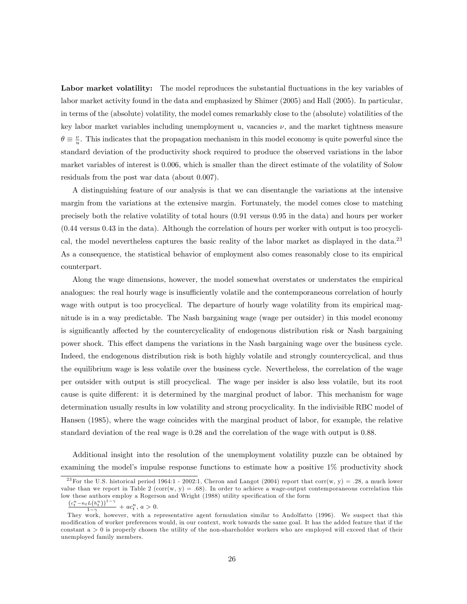Labor market volatility: The model reproduces the substantial fluctuations in the key variables of labor market activity found in the data and emphasized by Shimer (2005) and Hall (2005). In particular, in terms of the (absolute) volatility, the model comes remarkably close to the (absolute) volatilities of the key labor market variables including unemployment  $u$ , vacancies  $\nu$ , and the market tightness measure  $\theta \equiv \frac{\nu}{u}$ . This indicates that the propagation mechanism in this model economy is quite powerful since the standard deviation of the productivity shock required to produce the observed variations in the labor market variables of interest is 0.006, which is smaller than the direct estimate of the volatility of Solow residuals from the post war data (about 0.007).

A distinguishing feature of our analysis is that we can disentangle the variations at the intensive margin from the variations at the extensive margin. Fortunately, the model comes close to matching precisely both the relative volatility of total hours (0.91 versus 0.95 in the data) and hours per worker (0.44 versus 0.43 in the data). Although the correlation of hours per worker with output is too procyclical, the model nevertheless captures the basic reality of the labor market as displayed in the data.<sup>23</sup> As a consequence, the statistical behavior of employment also comes reasonably close to its empirical counterpart.

Along the wage dimensions, however, the model somewhat overstates or understates the empirical analogues: the real hourly wage is insufficiently volatile and the contemporaneous correlation of hourly wage with output is too procyclical. The departure of hourly wage volatility from its empirical magnitude is in a way predictable. The Nash bargaining wage (wage per outsider) in this model economy is significantly affected by the countercyclicality of endogenous distribution risk or Nash bargaining power shock. This effect dampens the variations in the Nash bargaining wage over the business cycle. Indeed, the endogenous distribution risk is both highly volatile and strongly countercyclical, and thus the equilibrium wage is less volatile over the business cycle. Nevertheless, the correlation of the wage per outsider with output is still procyclical. The wage per insider is also less volatile, but its root cause is quite different: it is determined by the marginal product of labor. This mechanism for wage determination usually results in low volatility and strong procyclicality. In the indivisible RBC model of Hansen (1985), where the wage coincides with the marginal product of labor, for example, the relative standard deviation of the real wage is 0.28 and the correlation of the wage with output is 0.88.

Additional insight into the resolution of the unemployment volatility puzzle can be obtained by examining the model's impulse response functions to estimate how a positive 1% productivity shock

<sup>&</sup>lt;sup>23</sup> For the U.S. historical period 1964:1 - 2002:1, Cheron and Langot (2004) report that corr(w, y) = .28, a much lower value than we report in Table 2 (corr(w,  $y$ ) = .68). In order to achieve a wage-output contemporaneous correlation this low these authors employ a Rogerson and Wright (1988) utility specification of the form

 $\frac{(c_t^n - n_t L(h_t^n))^{1-\gamma}}{1-\gamma} + ac_t^n, a > 0.$ 

They work, however, with a representative agent formulation similar to Andolfatto (1996). We suspect that this modification of worker preferences would, in our context, work towards the same goal. It has the added feature that if the constant  $a > 0$  is properly chosen the utility of the non-shareholder workers who are employed will exceed that of their unemployed family members.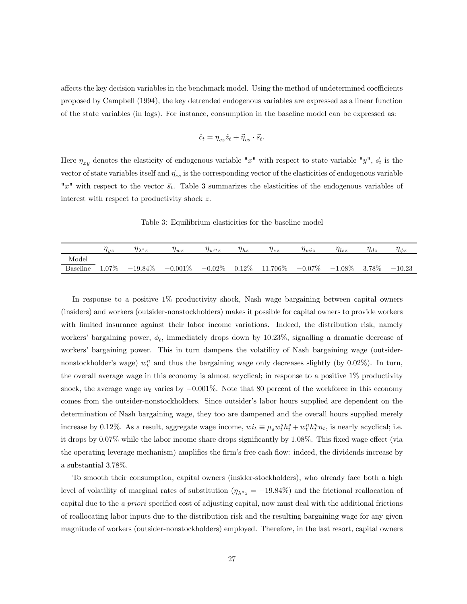affects the key decision variables in the benchmark model. Using the method of undetermined coefficients proposed by Campbell (1994), the key detrended endogenous variables are expressed as a linear function of the state variables (in logs). For instance, consumption in the baseline model can be expressed as:

$$
\hat{c}_t = \eta_{cz}\hat{z}_t + \vec{\eta}_{cs} \cdot \vec{s}_t.
$$

Here  $\eta_{xy}$  denotes the elasticity of endogenous variable "x" with respect to state variable "y",  $\vec{s_t}$  is the vector of state variables itself and  $\vec{\eta}_{cs}$  is the corresponding vector of the elasticities of endogenous variable "x" with respect to the vector  $\vec{s_t}$ . Table 3 summarizes the elasticities of the endogenous variables of interest with respect to productivity shock z.

Table 3: Equilibrium elasticities for the baseline model

|          | luz      | $l\lambda^s z$                  | $^{\prime}$ l $wz$ | $\eta_{w_1}$ | $\eta_{hz}$ | $\eta_{\nu z}$              | $\eta_{wiz}$ | $\eta_{lsz}$    | $\eta_{dz}$ | $\eta_{\phi z}$ |
|----------|----------|---------------------------------|--------------------|--------------|-------------|-----------------------------|--------------|-----------------|-------------|-----------------|
| Model    |          |                                 |                    |              |             |                             |              |                 |             |                 |
| Baseline | $1.07\%$ | $-19.84\%$ $-0.001\%$ $-0.02\%$ |                    |              |             | $0.12\%$ 11.706\% $-0.07\%$ |              | $-1.08\%$ 3.78% |             | $-10.23$        |

In response to a positive 1% productivity shock, Nash wage bargaining between capital owners (insiders) and workers (outsider-nonstockholders) makes it possible for capital owners to provide workers with limited insurance against their labor income variations. Indeed, the distribution risk, namely workers' bargaining power,  $\phi_t$ , immediately drops down by 10.23%, signalling a dramatic decrease of workersí bargaining power. This in turn dampens the volatility of Nash bargaining wage (outsidernonstockholder's wage)  $w_t^n$  and thus the bargaining wage only decreases slightly (by 0.02%). In turn, the overall average wage in this economy is almost acyclical; in response to a positive 1% productivity shock, the average wage  $w_t$  varies by  $-0.001\%$ . Note that 80 percent of the workforce in this economy comes from the outsider-nonstockholders. Since outsider's labor hours supplied are dependent on the determination of Nash bargaining wage, they too are dampened and the overall hours supplied merely increase by 0.12%. As a result, aggregate wage income,  $wi_t \equiv \mu_s w_t^s h_t^s + w_t^n h_t^n n_t$ , is nearly acyclical; i.e. it drops by  $0.07\%$  while the labor income share drops significantly by 1.08%. This fixed wage effect (via the operating leverage mechanism) amplifies the firm's free cash flow: indeed, the dividends increase by a substantial 3.78%.

To smooth their consumption, capital owners (insider-stockholders), who already face both a high level of volatility of marginal rates of substitution  $(\eta_{\lambda^s z} = -19.84\%)$  and the frictional reallocation of capital due to the a priori specified cost of adjusting capital, now must deal with the additional frictions of reallocating labor inputs due to the distribution risk and the resulting bargaining wage for any given magnitude of workers (outsider-nonstockholders) employed. Therefore, in the last resort, capital owners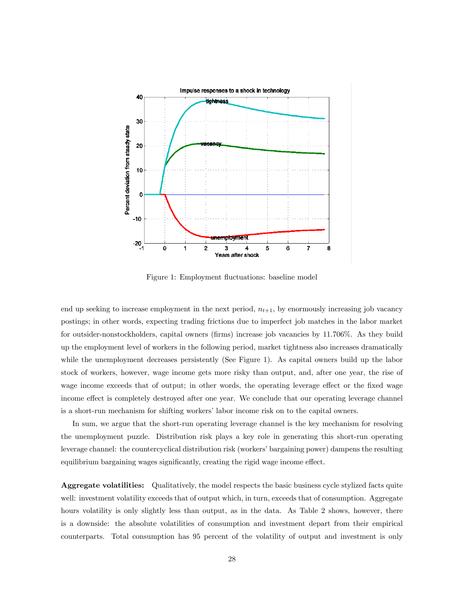

Figure 1: Employment fluctuations: baseline model

end up seeking to increase employment in the next period,  $n_{t+1}$ , by enormously increasing job vacancy postings; in other words, expecting trading frictions due to imperfect job matches in the labor market for outsider-nonstockholders, capital owners (firms) increase job vacancies by 11.706%. As they build up the employment level of workers in the following period, market tightness also increases dramatically while the unemployment decreases persistently (See Figure 1). As capital owners build up the labor stock of workers, however, wage income gets more risky than output, and, after one year, the rise of wage income exceeds that of output; in other words, the operating leverage effect or the fixed wage income effect is completely destroyed after one year. We conclude that our operating leverage channel is a short-run mechanism for shifting workers' labor income risk on to the capital owners.

In sum, we argue that the short-run operating leverage channel is the key mechanism for resolving the unemployment puzzle. Distribution risk plays a key role in generating this short-run operating leverage channel: the countercyclical distribution risk (workersíbargaining power) dampens the resulting equilibrium bargaining wages significantly, creating the rigid wage income effect.

Aggregate volatilities: Qualitatively, the model respects the basic business cycle stylized facts quite well: investment volatility exceeds that of output which, in turn, exceeds that of consumption. Aggregate hours volatility is only slightly less than output, as in the data. As Table 2 shows, however, there is a downside: the absolute volatilities of consumption and investment depart from their empirical counterparts. Total consumption has 95 percent of the volatility of output and investment is only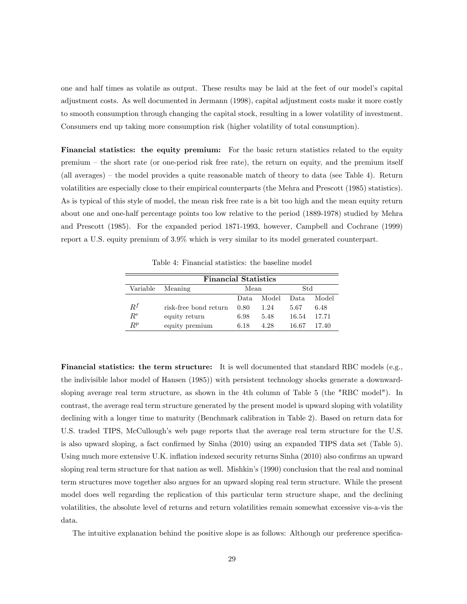one and half times as volatile as output. These results may be laid at the feet of our modelís capital adjustment costs. As well documented in Jermann (1998), capital adjustment costs make it more costly to smooth consumption through changing the capital stock, resulting in a lower volatility of investment. Consumers end up taking more consumption risk (higher volatility of total consumption).

Financial statistics: the equity premium: For the basic return statistics related to the equity premium – the short rate (or one-period risk free rate), the return on equity, and the premium itself (all averages)  $-$  the model provides a quite reasonable match of theory to data (see Table 4). Return volatilities are especially close to their empirical counterparts (the Mehra and Prescott (1985) statistics). As is typical of this style of model, the mean risk free rate is a bit too high and the mean equity return about one and one-half percentage points too low relative to the period (1889-1978) studied by Mehra and Prescott (1985). For the expanded period 1871-1993, however, Campbell and Cochrane (1999) report a U.S. equity premium of 3.9% which is very similar to its model generated counterpart.

Table 4: Financial statistics: the baseline model

|       | <b>Financial Statistics</b> |       |                |       |       |  |  |  |  |  |
|-------|-----------------------------|-------|----------------|-------|-------|--|--|--|--|--|
|       | Variable Meaning            | Mean  |                | Std   |       |  |  |  |  |  |
|       |                             | Data. | - Model - Data |       | Model |  |  |  |  |  |
| $R^f$ | risk-free bond return       | 0.80  | 1.24           | 5.67  | 6.48  |  |  |  |  |  |
| $R^e$ | equity return               | 6.98  | 5.48           | 16.54 | 17.71 |  |  |  |  |  |
| $P^p$ | equity premium              | 6.18  | 4.28           | 16.67 | 17.40 |  |  |  |  |  |

Financial statistics: the term structure: It is well documented that standard RBC models (e.g., the indivisible labor model of Hansen (1985)) with persistent technology shocks generate a downwardsloping average real term structure, as shown in the 4th column of Table 5 (the "RBC model"). In contrast, the average real term structure generated by the present model is upward sloping with volatility declining with a longer time to maturity (Benchmark calibration in Table 2). Based on return data for U.S. traded TIPS, McCullough's web page reports that the average real term structure for the U.S. is also upward sloping, a fact confirmed by Sinha (2010) using an expanded TIPS data set (Table 5). Using much more extensive U.K. inflation indexed security returns Sinha (2010) also confirms an upward sloping real term structure for that nation as well. Mishkin's (1990) conclusion that the real and nominal term structures move together also argues for an upward sloping real term structure. While the present model does well regarding the replication of this particular term structure shape, and the declining volatilities, the absolute level of returns and return volatilities remain somewhat excessive vis-a-vis the data.

The intuitive explanation behind the positive slope is as follows: Although our preference specifica-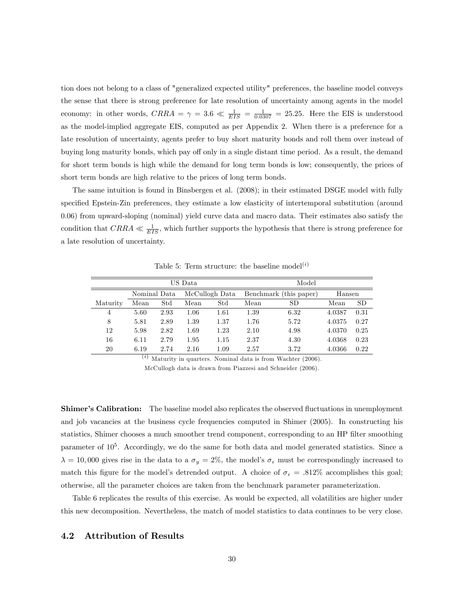tion does not belong to a class of "generalized expected utility" preferences, the baseline model conveys the sense that there is strong preference for late resolution of uncertainty among agents in the model economy: in other words,  $CRRA = \gamma = 3.6 \ll \frac{1}{EIS} = \frac{1}{0.0307} = 25.25$ . Here the EIS is understood as the model-implied aggregate EIS, computed as per Appendix 2. When there is a preference for a late resolution of uncertainty, agents prefer to buy short maturity bonds and roll them over instead of buying long maturity bonds, which pay off only in a single distant time period. As a result, the demand for short term bonds is high while the demand for long term bonds is low; consequently, the prices of short term bonds are high relative to the prices of long term bonds.

The same intuition is found in Binsbergen et al. (2008); in their estimated DSGE model with fully specified Epstein-Zin preferences, they estimate a low elasticity of intertemporal substitution (around 0.06) from upward-sloping (nominal) yield curve data and macro data. Their estimates also satisfy the condition that  $CRRA \ll \frac{1}{EIS}$ , which further supports the hypothesis that there is strong preference for a late resolution of uncertainty.

|                |      |                                | US Data  |              | Model |                                  |        |           |  |  |
|----------------|------|--------------------------------|----------|--------------|-------|----------------------------------|--------|-----------|--|--|
|                |      | McCullogh Data<br>Nominal Data |          |              |       | Benchmark (this paper)<br>Hansen |        |           |  |  |
| Maturity       | Mean | $^{Std}$                       | Mean     | $_{\rm Std}$ | Mean  | <b>SD</b>                        | Mean   | <b>SD</b> |  |  |
| $\overline{4}$ | 5.60 | 2.93                           | $1.06\,$ | 1.61         | 1.39  | 6.32                             | 4.0387 | 0.31      |  |  |
| 8              | 5.81 | 2.89                           | 1.39     | 1.37         | 1.76  | 5.72                             | 4.0375 | 0.27      |  |  |
| 12             | 5.98 | 2.82                           | 1.69     | 1.23         | 2.10  | 4.98                             | 4.0370 | 0.25      |  |  |
| 16             | 6.11 | 2.79                           | 1.95     | 1.15         | 2.37  | 4.30                             | 4.0368 | 0.23      |  |  |
| 20             | 6.19 | 2.74                           | 2.16     | 1.09         | 2.57  | 3.72                             | 4.0366 | 0.22      |  |  |

Table 5: Term structure: the baseline model<sup>(i)</sup>

 $(i)$  Maturity in quarters. Nominal data is from Wachter (2006).

McCullogh data is drawn from Piazzesi and Schneider (2006).

**Shimer's Calibration:** The baseline model also replicates the observed fluctuations in unemployment and job vacancies at the business cycle frequencies computed in Shimer (2005). In constructing his statistics, Shimer chooses a much smoother trend component, corresponding to an HP filter smoothing parameter of  $10^5$ . Accordingly, we do the same for both data and model generated statistics. Since a  $\lambda = 10,000$  gives rise in the data to a  $\sigma_y = 2\%$ , the model's  $\sigma_{\epsilon}$  must be correspondingly increased to match this figure for the model's detrended output. A choice of  $\sigma_{\epsilon} = .812\%$  accomplishes this goal; otherwise, all the parameter choices are taken from the benchmark parameter parameterization.

Table 6 replicates the results of this exercise. As would be expected, all volatilities are higher under this new decomposition. Nevertheless, the match of model statistics to data continues to be very close.

#### 4.2 Attribution of Results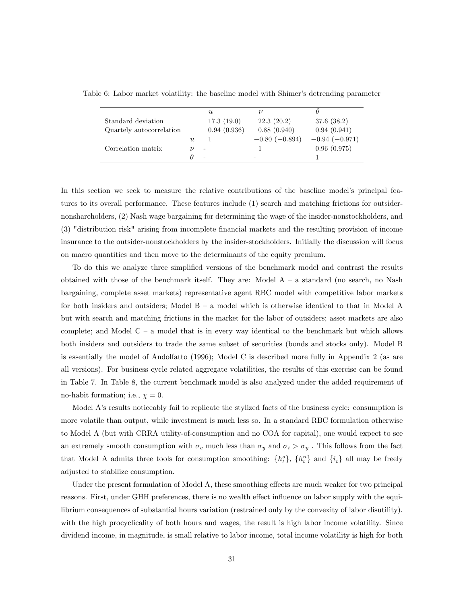|                          |   | U                        |                      |                 |
|--------------------------|---|--------------------------|----------------------|-----------------|
| Standard deviation       |   | 17.3(19.0)               | 22.3(20.2)           | 37.6(38.2)      |
| Quartely autocorrelation |   | 0.94(0.936)              | 0.88(0.940)          | 0.94(0.941)     |
|                          | U |                          | $-0.80$ ( $-0.894$ ) | $-0.94(-0.971)$ |
| Correlation matrix       |   | $\overline{\phantom{a}}$ |                      | 0.96(0.975)     |
|                          |   | $\overline{\phantom{0}}$ | -                    |                 |

Table 6: Labor market volatility: the baseline model with Shimer's detrending parameter

In this section we seek to measure the relative contributions of the baseline model's principal features to its overall performance. These features include (1) search and matching frictions for outsidernonshareholders, (2) Nash wage bargaining for determining the wage of the insider-nonstockholders, and (3) "distribution risk" arising from incomplete Önancial markets and the resulting provision of income insurance to the outsider-nonstockholders by the insider-stockholders. Initially the discussion will focus on macro quantities and then move to the determinants of the equity premium.

To do this we analyze three simplified versions of the benchmark model and contrast the results obtained with those of the benchmark itself. They are: Model  $A - a$  standard (no search, no Nash bargaining, complete asset markets) representative agent RBC model with competitive labor markets for both insiders and outsiders; Model  $B - a$  model which is otherwise identical to that in Model A but with search and matching frictions in the market for the labor of outsiders; asset markets are also complete; and Model  $C - a$  model that is in every way identical to the benchmark but which allows both insiders and outsiders to trade the same subset of securities (bonds and stocks only). Model B is essentially the model of Andolfatto (1996); Model C is described more fully in Appendix 2 (as are all versions). For business cycle related aggregate volatilities, the results of this exercise can be found in Table 7. In Table 8, the current benchmark model is also analyzed under the added requirement of no-habit formation; i.e.,  $\chi = 0$ .

Model Aís results noticeably fail to replicate the stylized facts of the business cycle: consumption is more volatile than output, while investment is much less so. In a standard RBC formulation otherwise to Model A (but with CRRA utility-of-consumption and no COA for capital), one would expect to see an extremely smooth consumption with  $\sigma_c$  much less than  $\sigma_y$  and  $\sigma_i > \sigma_y$ . This follows from the fact that Model A admits three tools for consumption smoothing:  $\{h_t^s\}$ ,  $\{h_t^n\}$  and  $\{i_t\}$  all may be freely adjusted to stabilize consumption.

Under the present formulation of Model A, these smoothing effects are much weaker for two principal reasons. First, under GHH preferences, there is no wealth effect influence on labor supply with the equilibrium consequences of substantial hours variation (restrained only by the convexity of labor disutility). with the high procyclicality of both hours and wages, the result is high labor income volatility. Since dividend income, in magnitude, is small relative to labor income, total income volatility is high for both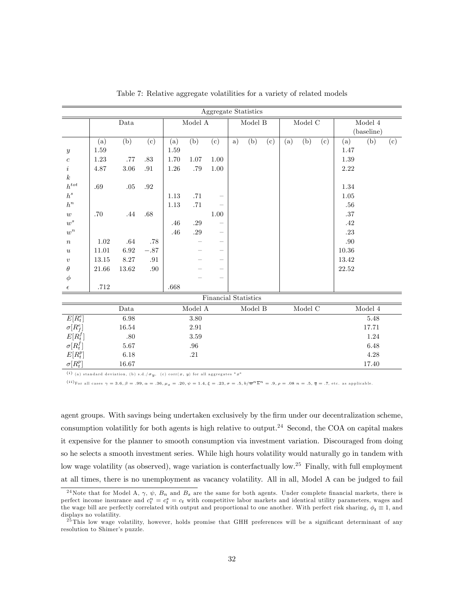|                        |       |            |         |      |                             | Aggregate Statistics        |    |                                   |     |     |                          |     |         |                    |     |
|------------------------|-------|------------|---------|------|-----------------------------|-----------------------------|----|-----------------------------------|-----|-----|--------------------------|-----|---------|--------------------|-----|
|                        |       | $\it Data$ |         |      | $\operatorname{Model}$ A    |                             |    | $\textbf{Model} \ \mathbf{B}$     |     |     | $\operatorname{Model}$ C |     |         | $\textbf{Model}~4$ |     |
|                        |       |            |         |      |                             |                             |    |                                   |     |     |                          |     |         | (baseline)         |     |
|                        | (a)   | (b)        | (c)     | (a)  | (b)                         | (c)                         | a) | (b)                               | (c) | (a) | (b)                      | (c) | (a)     | (b)                | (c) |
| $\boldsymbol{y}$       | 1.59  |            |         | 1.59 |                             |                             |    |                                   |     |     |                          |     | 1.47    |                    |     |
| $\boldsymbol{c}$       | 1.23  | .77        | .83     | 1.70 | 1.07                        | 1.00                        |    |                                   |     |     |                          |     | 1.39    |                    |     |
| $\dot{\imath}$         | 4.87  | $3.06\,$   | $.91\,$ | 1.26 | $.79\,$                     | $1.00\,$                    |    |                                   |     |     |                          |     | 2.22    |                    |     |
| $\boldsymbol{k}$       |       |            |         |      |                             |                             |    |                                   |     |     |                          |     |         |                    |     |
| $\boldsymbol{h}^{tot}$ | .69   | .05        | .92     |      |                             |                             |    |                                   |     |     |                          |     | 1.34    |                    |     |
| $\boldsymbol{h}^s$     |       |            |         | 1.13 | .71                         |                             |    |                                   |     |     |                          |     | 1.05    |                    |     |
| $\boldsymbol{h}^n$     |       |            |         | 1.13 | .71                         |                             |    |                                   |     |     |                          |     | .56     |                    |     |
| $\boldsymbol{w}$       | .70   | .44        | .68     |      |                             | 1.00                        |    |                                   |     |     |                          |     | .37     |                    |     |
| $w^s$                  |       |            |         | .46  | $.29\,$                     |                             |    |                                   |     |     |                          |     | $.42\,$ |                    |     |
| $w^n$                  |       |            |         | .46  | $.29\,$                     | $\overline{\phantom{0}}$    |    |                                   |     |     |                          |     | .23     |                    |     |
| $\, n$                 | 1.02  | .64        | .78     |      |                             | $\overline{\phantom{0}}$    |    |                                   |     |     |                          |     | .90     |                    |     |
| $\boldsymbol{u}$       | 11.01 | $6.92\,$   | $-.87$  |      |                             |                             |    |                                   |     |     |                          |     | 10.36   |                    |     |
| $\boldsymbol{v}$       | 13.15 | $8.27\,$   | .91     |      |                             |                             |    |                                   |     |     |                          |     | 13.42   |                    |     |
| $\theta$               | 21.66 | $13.62\,$  | .90     |      |                             |                             |    |                                   |     |     |                          |     | 22.52   |                    |     |
| $\phi$                 |       |            |         |      |                             |                             |    |                                   |     |     |                          |     |         |                    |     |
| $\epsilon$             | .712  |            |         | .668 |                             |                             |    |                                   |     |     |                          |     |         |                    |     |
|                        |       |            |         |      |                             | <b>Financial Statistics</b> |    |                                   |     |     |                          |     |         |                    |     |
|                        |       | Data       |         |      | $\textbf{Model}~\textbf{A}$ |                             |    | $\operatorname{\mathsf{Model}}$ B |     |     | Model $\overline{C}$     |     |         | $\textbf{Model}~4$ |     |
| $E[R_t^e]$             |       | 6.98       |         |      | 3.80                        |                             |    |                                   |     |     |                          |     |         | 5.48               |     |
| $\sigma[R_f^e]$        |       | $16.54\,$  |         |      | 2.91                        |                             |    |                                   |     |     |                          |     |         | 17.71              |     |
| $E[R_t^f]$             |       | $.80\,$    |         |      | 3.59                        |                             |    |                                   |     |     |                          |     |         | 1.24               |     |
| $\sigma[R_t^f]$        |       | $5.67\,$   |         |      | $.96\,$                     |                             |    |                                   |     |     |                          |     |         | $6.48\,$           |     |
| $E[R_t^p]$             |       | 6.18       |         |      | .21                         |                             |    |                                   |     |     |                          |     |         | 4.28               |     |
| $\sigma[R_t^p]$        |       | 16.67      |         |      |                             |                             |    |                                   |     |     |                          |     |         | 17.40              |     |

Table 7: Relative aggregate volatilities for a variety of related models

(i) (a) standard deviation, (b) s.d./ $\sigma_y$ , (c) corr(x, y) for all aggregates "x"

(*ii*)For all cases  $\gamma = 3.6$ ,  $\beta = .99$ ,  $\alpha = .36$ ,  $\mu_s = .20$ ,  $\psi = 1.4$ ,  $\xi = .23$ ,  $\sigma = .5$ ,  $b/\overline{w}^n\overline{h}^n = .9$ ,  $\rho = .08$   $n = .5$ ,  $\overline{q} = .7$ , etc. as applicable.

agent groups. With savings being undertaken exclusively by the firm under our decentralization scheme, consumption volatilitly for both agents is high relative to output.<sup>24</sup> Second, the COA on capital makes it expensive for the planner to smooth consumption via investment variation. Discouraged from doing so he selects a smooth investment series. While high hours volatility would naturally go in tandem with low wage volatility (as observed), wage variation is conterfactually low.<sup>25</sup> Finally, with full employment at all times, there is no unemployment as vacancy volatility. All in all, Model A can be judged to fail

<sup>&</sup>lt;sup>24</sup>Note that for Model A,  $\gamma$ ,  $\psi$ ,  $B_n$  and  $B_s$  are the same for both agents. Under complete financial markets, there is perfect income insurance and  $c_t^n = c_t$  with competitive labor markets and identical utility parameters, wages and the wage bill are perfectly correlated with output and proportional to one another. With perfect risk sharing,  $\phi_t \equiv 1$ , and displays no volatility.

 $^{25}$ This low wage volatility, however, holds promise that GHH preferences will be a significant determinant of any resolution to Shimer's puzzle.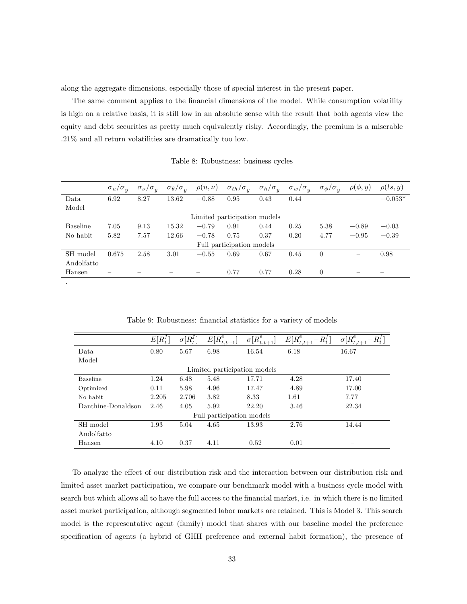along the aggregate dimensions, especially those of special interest in the present paper.

The same comment applies to the financial dimensions of the model. While consumption volatility is high on a relative basis, it is still low in an absolute sense with the result that both agents view the equity and debt securities as pretty much equivalently risky. Accordingly, the premium is a miserable .21% and all return volatilities are dramatically too low.

Table 8: Robustness: business cycles

|                 | $\sigma_u/$<br>$\sigma_{\overline{u}}$ | $\sigma_{\nu}/\sigma_{y}$ | $\sigma_{\theta}/\sigma_{u}$ | $\rho(u,\nu)$ | $\sigma_{th}/\sigma_{y}$     | $\sigma_h/\sigma_u$ | $\sigma_{w}$<br>$\sigma_u$ | $\sigma_{\phi}/\sigma_{y}$ | $\rho(\phi, y)$          | $\rho(ls, y)$ |
|-----------------|----------------------------------------|---------------------------|------------------------------|---------------|------------------------------|---------------------|----------------------------|----------------------------|--------------------------|---------------|
| Data            | 6.92                                   | 8.27                      | 13.62                        | $-0.88$       | 0.95                         | 0.43                | 0.44                       |                            |                          | $-0.053*$     |
| Model           |                                        |                           |                              |               |                              |                     |                            |                            |                          |               |
|                 |                                        |                           |                              |               | Limited participation models |                     |                            |                            |                          |               |
| <b>Baseline</b> | 7.05                                   | 9.13                      | 15.32                        | $-0.79$       | 0.91                         | 0.44                | 0.25                       | 5.38                       | $-0.89$                  | $-0.03$       |
| No habit        | 5.82                                   | 7.57                      | 12.66                        | $-0.78$       | 0.75                         | 0.37                | 0.20                       | 4.77                       | $-0.95$                  | $-0.39$       |
|                 |                                        |                           |                              |               | Full participation models    |                     |                            |                            |                          |               |
| SH model        | 0.675                                  | 2.58                      | 3.01                         | $-0.55$       | 0.69                         | 0.67                | 0.45                       | $\Omega$                   | $\overline{\phantom{m}}$ | 0.98          |
| Andolfatto      |                                        |                           |                              |               |                              |                     |                            |                            |                          |               |
| Hansen          |                                        |                           |                              |               | 0.77                         | 0.77                | 0.28                       | $\theta$                   |                          |               |
|                 |                                        |                           |                              |               |                              |                     |                            |                            |                          |               |

|                    | $E[R_t^f]$ | $\sigma[R_t^J]$ | $E[R_{t,t+1}^e]$             | $\sigma[R_{t,t+1}^e]$ | $E[R_{t,t+1}^e]$<br>$-R_t^J$ | $\sigma[R_{t,t+}^e$ |
|--------------------|------------|-----------------|------------------------------|-----------------------|------------------------------|---------------------|
| Data               | 0.80       | 5.67            | 6.98                         | 16.54                 | 6.18                         | 16.67               |
| Model              |            |                 |                              |                       |                              |                     |
|                    |            |                 | Limited participation models |                       |                              |                     |
| <b>Baseline</b>    | 1.24       | 6.48            | 5.48                         | 17.71                 | 4.28                         | 17.40               |
| Optimized          | 0.11       | 5.98            | 4.96                         | 17.47                 | 4.89                         | 17.00               |
| No habit           | 2.205      | 2.706           | 3.82                         | 8.33                  | 1.61                         | 7.77                |
| Danthine-Donaldson | 2.46       | 4.05            | 5.92                         | 22.20                 | 3.46                         | 22.34               |
|                    |            |                 | Full participation models    |                       |                              |                     |
| SH model           | 1.93       | 5.04            | 4.65                         | 13.93                 | 2.76                         | 14.44               |
| Andolfatto         |            |                 |                              |                       |                              |                     |
| Hansen             | 4.10       | 0.37            | 4.11                         | 0.52                  | 0.01                         |                     |

Table 9: Robustness: financial statistics for a variety of models

To analyze the effect of our distribution risk and the interaction between our distribution risk and limited asset market participation, we compare our benchmark model with a business cycle model with search but which allows all to have the full access to the financial market, i.e. in which there is no limited asset market participation, although segmented labor markets are retained. This is Model 3. This search model is the representative agent (family) model that shares with our baseline model the preference specification of agents (a hybrid of GHH preference and external habit formation), the presence of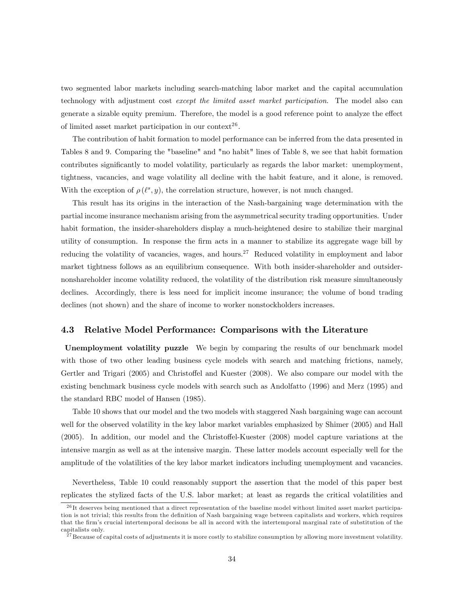two segmented labor markets including search-matching labor market and the capital accumulation technology with adjustment cost except the limited asset market participation. The model also can generate a sizable equity premium. Therefore, the model is a good reference point to analyze the effect of limited asset market participation in our context<sup>26</sup>.

The contribution of habit formation to model performance can be inferred from the data presented in Tables 8 and 9. Comparing the "baseline" and "no habit" lines of Table 8, we see that habit formation contributes significantly to model volatility, particularly as regards the labor market: unemployment, tightness, vacancies, and wage volatility all decline with the habit feature, and it alone, is removed. With the exception of  $\rho(\ell^s, y)$ , the correlation structure, however, is not much changed.

This result has its origins in the interaction of the Nash-bargaining wage determination with the partial income insurance mechanism arising from the asymmetrical security trading opportunities. Under habit formation, the insider-shareholders display a much-heightened desire to stabilize their marginal utility of consumption. In response the Örm acts in a manner to stabilize its aggregate wage bill by reducing the volatility of vacancies, wages, and hours.<sup>27</sup> Reduced volatility in employment and labor market tightness follows as an equilibrium consequence. With both insider-shareholder and outsidernonshareholder income volatility reduced, the volatility of the distribution risk measure simultaneously declines. Accordingly, there is less need for implicit income insurance; the volume of bond trading declines (not shown) and the share of income to worker nonstockholders increases.

#### 4.3 Relative Model Performance: Comparisons with the Literature

Unemployment volatility puzzle We begin by comparing the results of our benchmark model with those of two other leading business cycle models with search and matching frictions, namely, Gertler and Trigari (2005) and Christoffel and Kuester (2008). We also compare our model with the existing benchmark business cycle models with search such as Andolfatto (1996) and Merz (1995) and the standard RBC model of Hansen (1985).

Table 10 shows that our model and the two models with staggered Nash bargaining wage can account well for the observed volatility in the key labor market variables emphasized by Shimer (2005) and Hall  $(2005)$ . In addition, our model and the Christoffel-Kuester  $(2008)$  model capture variations at the intensive margin as well as at the intensive margin. These latter models account especially well for the amplitude of the volatilities of the key labor market indicators including unemployment and vacancies.

Nevertheless, Table 10 could reasonably support the assertion that the model of this paper best replicates the stylized facts of the U.S. labor market; at least as regards the critical volatilities and

 $^{26}$ It deserves being mentioned that a direct representation of the baseline model without limited asset market participation is not trivial; this results from the definition of Nash bargaining wage between capitalists and workers, which requires that the firm's crucial intertemporal decisons be all in accord with the intertemporal marginal rate of substitution of the capitalists only.

 $^{27}$ Because of capital costs of adjustments it is more costly to stabilize consumption by allowing more investment volatility.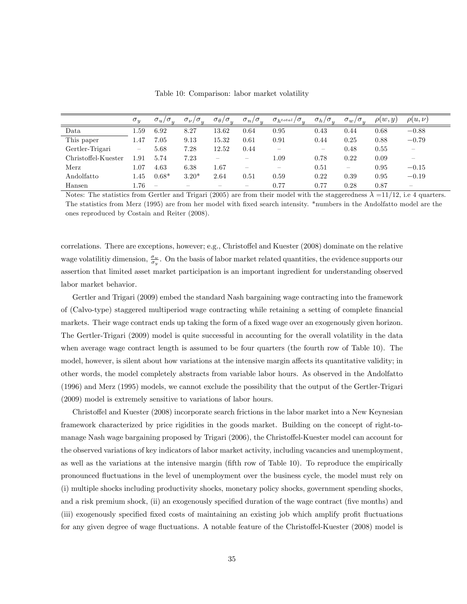|                     | $\sigma_y$        | $\sigma_u/\sigma_u$             | $\sigma_{\nu}/\sigma_{y}$ | $\sigma_{\theta}/\sigma_{y}$ | $\sigma_y$<br>$\sigma_n/$ | $\sigma_{h^{total}}/\sigma_{y}$ | $\sigma_h/\sigma_y$      | $\sigma_w/\sigma_s$      | $\rho(w, y)$ | $\rho(u,\nu)$            |
|---------------------|-------------------|---------------------------------|---------------------------|------------------------------|---------------------------|---------------------------------|--------------------------|--------------------------|--------------|--------------------------|
| Data                | 1.59              | 6.92                            | 8.27                      | 13.62                        | 0.64                      | 0.95                            | 0.43                     | 0.44                     | 0.68         | $-0.88$                  |
| This paper          | 1.47              | 7.05                            | 9.13                      | 15.32                        | 0.61                      | 0.91                            | 0.44                     | 0.25                     | 0.88         | $-0.79$                  |
| Gertler-Trigari     | $\hspace{0.05cm}$ | 5.68                            | 7.28                      | 12.52                        | 0.44                      | $\overline{\phantom{a}}$        | $\overline{\phantom{a}}$ | 0.48                     | 0.55         | $\overline{\phantom{a}}$ |
| Christoffel-Kuester | 1.91              | 5.74                            | 7.23                      |                              |                           | 1.09                            | 0.78                     | 0.22                     | 0.09         | $\overline{\phantom{a}}$ |
| Merz                | 1.07              | 4.63                            | 6.38                      | 1.67                         | $\hspace{0.05cm}$         | $\hspace{0.05cm}$               | 0.51                     | $\overline{\phantom{m}}$ | 0.95         | $-0.15$                  |
| Andolfatto          | 1.45              | $0.68*$                         | $3.20*$                   | 2.64                         | 0.51                      | 0.59                            | 0.22                     | 0.39                     | 0.95         | $-0.19$                  |
| Hansen              | 1.76              | $\hspace{0.1mm}-\hspace{0.1mm}$ |                           |                              |                           | 0.77                            | 0.77                     | 0.28                     | 0.87         | $\overline{\phantom{a}}$ |

Table 10: Comparison: labor market volatility

Notes: The statistics from Gertler and Trigari (2005) are from their model with the staggeredness  $\lambda =11/12$ , i.e 4 quarters. The statistics from Merz (1995) are from her model with Öxed search intensity. \*numbers in the Andolfatto model are the ones reproduced by Costain and Reiter (2008).

correlations. There are exceptions, however; e.g., Christoffel and Kuester (2008) dominate on the relative wage volatilitiy dimension,  $\frac{\sigma_w}{\sigma_y}$ . On the basis of labor market related quantities, the evidence supports our assertion that limited asset market participation is an important ingredient for understanding observed labor market behavior.

Gertler and Trigari (2009) embed the standard Nash bargaining wage contracting into the framework of (Calvo-type) staggered multiperiod wage contracting while retaining a setting of complete Önancial markets. Their wage contract ends up taking the form of a fixed wage over an exogenously given horizon. The Gertler-Trigari (2009) model is quite successful in accounting for the overall volatility in the data when average wage contract length is assumed to be four quarters (the fourth row of Table 10). The model, however, is silent about how variations at the intensive margin affects its quantitative validity; in other words, the model completely abstracts from variable labor hours. As observed in the Andolfatto (1996) and Merz (1995) models, we cannot exclude the possibility that the output of the Gertler-Trigari (2009) model is extremely sensitive to variations of labor hours.

Christoffel and Kuester (2008) incorporate search frictions in the labor market into a New Keynesian framework characterized by price rigidities in the goods market. Building on the concept of right-tomanage Nash wage bargaining proposed by Trigari (2006), the Christoffel-Kuester model can account for the observed variations of key indicators of labor market activity, including vacancies and unemployment, as well as the variations at the intensive margin (fifth row of Table 10). To reproduce the empirically pronounced áuctuations in the level of unemployment over the business cycle, the model must rely on (i) multiple shocks including productivity shocks, monetary policy shocks, government spending shocks, and a risk premium shock, (ii) an exogenously specified duration of the wage contract (five months) and (iii) exogenously specified fixed costs of maintaining an existing job which amplify profit fluctuations for any given degree of wage fluctuations. A notable feature of the Christoffel-Kuester (2008) model is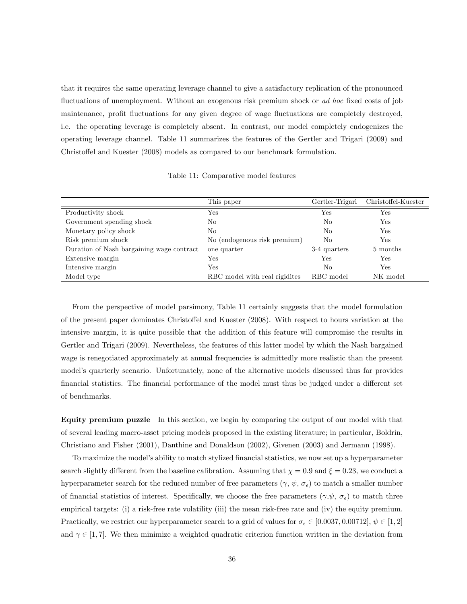that it requires the same operating leverage channel to give a satisfactory replication of the pronounced fluctuations of unemployment. Without an exogenous risk premium shock or ad hoc fixed costs of job maintenance, profit fluctuations for any given degree of wage fluctuations are completely destroyed, i.e. the operating leverage is completely absent. In contrast, our model completely endogenizes the operating leverage channel. Table 11 summarizes the features of the Gertler and Trigari (2009) and Christoffel and Kuester (2008) models as compared to our benchmark formulation.

Table 11: Comparative model features

|                                           | This paper                     | Gertler-Trigari | Christoffel-Kuester |
|-------------------------------------------|--------------------------------|-----------------|---------------------|
| Productivity shock                        | Yes                            | Yes             | Yes                 |
| Government spending shock                 | No                             | No              | Yes                 |
| Monetary policy shock                     | No                             | No              | Yes                 |
| Risk premium shock                        | No (endogenous risk premium)   | No              | Yes                 |
| Duration of Nash bargaining wage contract | one quarter                    | 3-4 quarters    | 5 months            |
| Extensive margin                          | Yes                            | Yes             | Yes                 |
| Intensive margin                          | Yes                            | No.             | Yes                 |
| Model type                                | RBC model with real rigidities | RBC model       | NK model            |

From the perspective of model parsimony, Table 11 certainly suggests that the model formulation of the present paper dominates Christoffel and Kuester (2008). With respect to hours variation at the intensive margin, it is quite possible that the addition of this feature will compromise the results in Gertler and Trigari (2009). Nevertheless, the features of this latter model by which the Nash bargained wage is renegotiated approximately at annual frequencies is admittedly more realistic than the present model's quarterly scenario. Unfortunately, none of the alternative models discussed thus far provides financial statistics. The financial performance of the model must thus be judged under a different set of benchmarks.

Equity premium puzzle In this section, we begin by comparing the output of our model with that of several leading macro-asset pricing models proposed in the existing literature; in particular, Boldrin, Christiano and Fisher (2001), Danthine and Donaldson (2002), Givenen (2003) and Jermann (1998).

To maximize the model's ability to match stylized financial statistics, we now set up a hyperparameter search slightly different from the baseline calibration. Assuming that  $\chi = 0.9$  and  $\xi = 0.23$ , we conduct a hyperparameter search for the reduced number of free parameters  $(\gamma, \psi, \sigma_{\epsilon})$  to match a smaller number of financial statistics of interest. Specifically, we choose the free parameters  $(\gamma, \psi, \sigma_{\epsilon})$  to match three empirical targets: (i) a risk-free rate volatility (iii) the mean risk-free rate and (iv) the equity premium. Practically, we restrict our hyperparameter search to a grid of values for  $\sigma_{\epsilon} \in [0.0037, 0.00712], \psi \in [1, 2]$ and  $\gamma \in [1, 7]$ . We then minimize a weighted quadratic criterion function written in the deviation from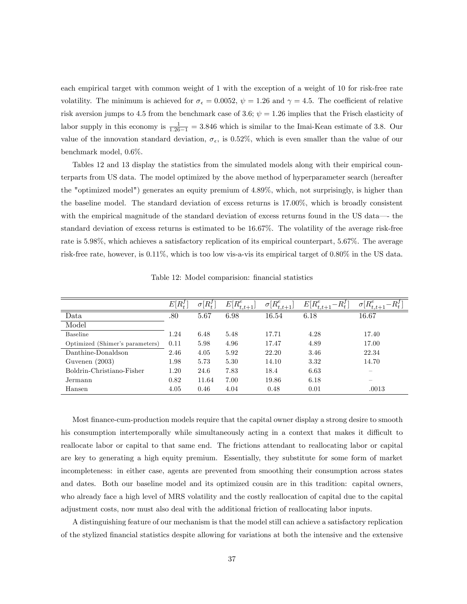each empirical target with common weight of 1 with the exception of a weight of 10 for risk-free rate volatility. The minimum is achieved for  $\sigma_{\epsilon} = 0.0052$ ,  $\psi = 1.26$  and  $\gamma = 4.5$ . The coefficient of relative risk aversion jumps to 4.5 from the benchmark case of 3.6;  $\psi = 1.26$  implies that the Frisch elasticity of labor supply in this economy is  $\frac{1}{1.26-1} = 3.846$  which is similar to the Imai-Kean estimate of 3.8. Our value of the innovation standard deviation,  $\sigma_{\epsilon}$ , is 0.52%, which is even smaller than the value of our benchmark model, 0.6%.

Tables 12 and 13 display the statistics from the simulated models along with their empirical counterparts from US data. The model optimized by the above method of hyperparameter search (hereafter the "optimized model") generates an equity premium of 4.89%, which, not surprisingly, is higher than the baseline model. The standard deviation of excess returns is 17.00%, which is broadly consistent with the empirical magnitude of the standard deviation of excess returns found in the US data—the standard deviation of excess returns is estimated to be 16.67%. The volatility of the average risk-free rate is 5.98%, which achieves a satisfactory replication of its empirical counterpart, 5.67%. The average risk-free rate, however, is 0.11%, which is too low vis-a-vis its empirical target of 0.80% in the US data.

|                                 | $E\vert$<br>$R_{\ast}^{J}$ | $R^{J}_{\ast}$<br>$\sigma$ | $E[R_{t,t+1}^e]$ | $\sigma[R_{t,t+1}^e]$ | $E[R_{t,t+}^e]$ | $\sigma[R_{t,t+}^e]$     |
|---------------------------------|----------------------------|----------------------------|------------------|-----------------------|-----------------|--------------------------|
| Data                            | .80                        | 5.67                       | 6.98             | 16.54                 | 6.18            | 16.67                    |
| Model                           |                            |                            |                  |                       |                 |                          |
| <b>Baseline</b>                 | 1.24                       | 6.48                       | 5.48             | 17.71                 | 4.28            | 17.40                    |
| Optimized (Shimer's parameters) | 0.11                       | 5.98                       | 4.96             | 17.47                 | 4.89            | 17.00                    |
| Danthine-Donaldson              | 2.46                       | 4.05                       | 5.92             | 22.20                 | 3.46            | 22.34                    |
| Guvenen $(2003)$                | 1.98                       | 5.73                       | 5.30             | 14.10                 | 3.32            | 14.70                    |
| Boldrin-Christiano-Fisher       | 1.20                       | 24.6                       | 7.83             | 18.4                  | 6.63            |                          |
| Jermann                         | 0.82                       | 11.64                      | 7.00             | 19.86                 | 6.18            | $\overline{\phantom{a}}$ |
| Hansen                          | 4.05                       | 0.46                       | 4.04             | 0.48                  | 0.01            | .0013                    |

Table 12: Model comparision: financial statistics

Most finance-cum-production models require that the capital owner display a strong desire to smooth his consumption intertemporally while simultaneously acting in a context that makes it difficult to reallocate labor or capital to that same end. The frictions attendant to reallocating labor or capital are key to generating a high equity premium. Essentially, they substitute for some form of market incompleteness: in either case, agents are prevented from smoothing their consumption across states and dates. Both our baseline model and its optimized cousin are in this tradition: capital owners, who already face a high level of MRS volatility and the costly reallocation of capital due to the capital adjustment costs, now must also deal with the additional friction of reallocating labor inputs.

A distinguishing feature of our mechanism is that the model still can achieve a satisfactory replication of the stylized Önancial statistics despite allowing for variations at both the intensive and the extensive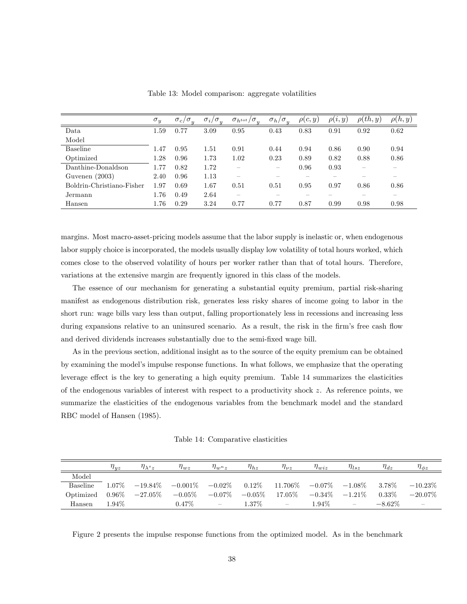|                           | $\sigma_y$ | $\sigma_y$<br>$\sigma_c/$ | $\sigma_i/\sigma_y$ | $\sigma_{h^{tot}}/\sigma_{y}$ | $\sigma_h/\sigma$ | $\rho(c,y)$ | $\rho(i,y)$ | $\rho(th,y)$ | $\rho(h,y)$ |
|---------------------------|------------|---------------------------|---------------------|-------------------------------|-------------------|-------------|-------------|--------------|-------------|
| Data                      | 1.59       | 0.77                      | 3.09                | 0.95                          | 0.43              | 0.83        | 0.91        | 0.92         | 0.62        |
| Model                     |            |                           |                     |                               |                   |             |             |              |             |
| Baseline                  | 1.47       | 0.95                      | 1.51                | 0.91                          | 0.44              | 0.94        | 0.86        | 0.90         | 0.94        |
| Optimized                 | 1.28       | 0.96                      | 1.73                | 1.02                          | 0.23              | 0.89        | 0.82        | 0.88         | 0.86        |
| Danthine-Donaldson        | 1.77       | 0.82                      | 1.72                |                               |                   | 0.96        | 0.93        |              |             |
| Guvenen $(2003)$          | 2.40       | 0.96                      | 1.13                | $\overline{\phantom{a}}$      |                   |             |             |              |             |
| Boldrin-Christiano-Fisher | 1.97       | 0.69                      | 1.67                | 0.51                          | 0.51              | 0.95        | 0.97        | 0.86         | 0.86        |
| Jermann                   | 1.76       | 0.49                      | 2.64                |                               |                   |             |             |              |             |
| Hansen                    | 1.76       | 0.29                      | 3.24                | 0.77                          | 0.77              | 0.87        | 0.99        | 0.98         | 0.98        |

Table 13: Model comparison: aggregate volatilities

margins. Most macro-asset-pricing models assume that the labor supply is inelastic or, when endogenous labor supply choice is incorporated, the models usually display low volatility of total hours worked, which comes close to the observed volatility of hours per worker rather than that of total hours. Therefore, variations at the extensive margin are frequently ignored in this class of the models.

The essence of our mechanism for generating a substantial equity premium, partial risk-sharing manifest as endogenous distribution risk, generates less risky shares of income going to labor in the short run: wage bills vary less than output, falling proportionately less in recessions and increasing less during expansions relative to an uninsured scenario. As a result, the risk in the firm's free cash flow and derived dividends increases substantially due to the semi-fixed wage bill.

As in the previous section, additional insight as to the source of the equity premium can be obtained by examining the model's impulse response functions. In what follows, we emphasize that the operating leverage effect is the key to generating a high equity premium. Table 14 summarizes the elasticities of the endogenous variables of interest with respect to a productivity shock z. As reference points, we summarize the elasticities of the endogenous variables from the benchmark model and the standard RBC model of Hansen (1985).

Table 14: Comparative elasticities

|                 | $\eta_{yz}$   | $\eta_{\lambda^s z}$                                                             | $\eta_{wz}$ | $\eta_{w_1}$ | $\eta_{hz}$ | $\eta_{\nu z}$           | $\eta_{wiz}$        | $\eta_{lsz}$ | $\eta_{dz}$ | $\eta_{\phi z}$          |
|-----------------|---------------|----------------------------------------------------------------------------------|-------------|--------------|-------------|--------------------------|---------------------|--------------|-------------|--------------------------|
| Model           |               |                                                                                  |             |              |             |                          |                     |              |             |                          |
| <b>Baseline</b> | 1.07%         | $-19.84\%$ $-0.001\%$ $-0.02\%$ $0.12\%$ $11.706\%$ $-0.07\%$ $-1.08\%$ $3.78\%$ |             |              |             |                          |                     |              |             | $-10.23\%$               |
| Optimized       | $\sim 0.96\%$ | $-27.05\%$ $-0.05\%$ $-0.07\%$ $-0.05\%$ 17.05%                                  |             |              |             |                          | $-0.34\%$ $-1.21\%$ |              | $0.33\%$    | $-20.07\%$               |
| Hansen          | 1.94\%        |                                                                                  | $0.47\%$    | $\equiv$     | $1.37\%$    | $\overline{\phantom{m}}$ | 1.94%               | $\sim$       | $-8.62\%$   | $\overline{\phantom{a}}$ |

Figure 2 presents the impulse response functions from the optimized model. As in the benchmark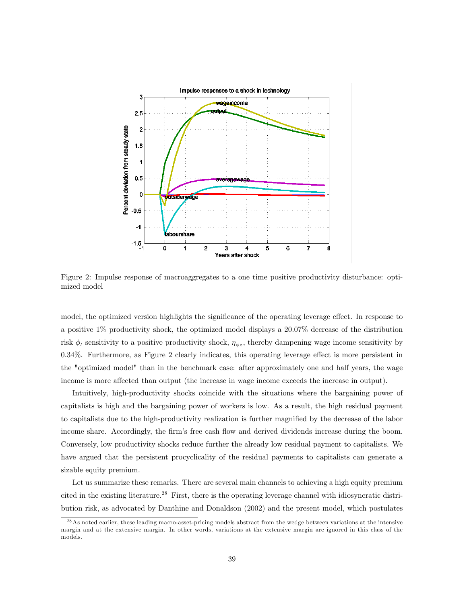

Figure 2: Impulse response of macroaggregates to a one time positive productivity disturbance: optimized model

model, the optimized version highlights the significance of the operating leverage effect. In response to a positive 1% productivity shock, the optimized model displays a 20.07% decrease of the distribution risk  $\phi_t$  sensitivity to a positive productivity shock,  $\eta_{\phi z}$ , thereby dampening wage income sensitivity by 0.34%. Furthermore, as Figure 2 clearly indicates, this operating leverage effect is more persistent in the "optimized model" than in the benchmark case: after approximately one and half years, the wage income is more affected than output (the increase in wage income exceeds the increase in output).

Intuitively, high-productivity shocks coincide with the situations where the bargaining power of capitalists is high and the bargaining power of workers is low. As a result, the high residual payment to capitalists due to the high-productivity realization is further magnified by the decrease of the labor income share. Accordingly, the firm's free cash flow and derived dividends increase during the boom. Conversely, low productivity shocks reduce further the already low residual payment to capitalists. We have argued that the persistent procyclicality of the residual payments to capitalists can generate a sizable equity premium.

Let us summarize these remarks. There are several main channels to achieving a high equity premium cited in the existing literature.<sup>28</sup> First, there is the operating leverage channel with idiosyncratic distribution risk, as advocated by Danthine and Donaldson (2002) and the present model, which postulates

<sup>&</sup>lt;sup>28</sup> As noted earlier, these leading macro-asset-pricing models abstract from the wedge between variations at the intensive margin and at the extensive margin. In other words, variations at the extensive margin are ignored in this class of the models.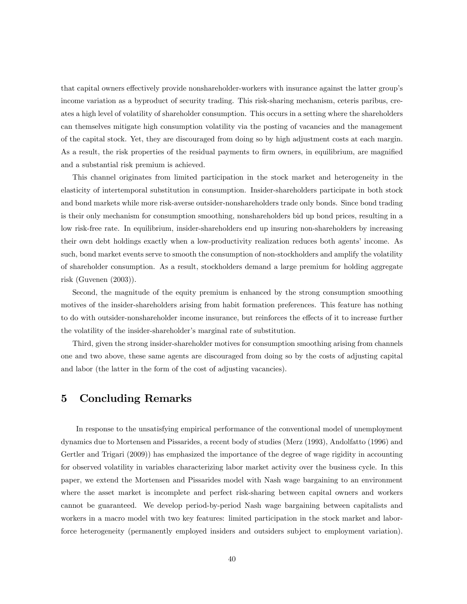that capital owners effectively provide nonshareholder-workers with insurance against the latter group's income variation as a byproduct of security trading. This risk-sharing mechanism, ceteris paribus, creates a high level of volatility of shareholder consumption. This occurs in a setting where the shareholders can themselves mitigate high consumption volatility via the posting of vacancies and the management of the capital stock. Yet, they are discouraged from doing so by high adjustment costs at each margin. As a result, the risk properties of the residual payments to firm owners, in equilibrium, are magnified and a substantial risk premium is achieved.

This channel originates from limited participation in the stock market and heterogeneity in the elasticity of intertemporal substitution in consumption. Insider-shareholders participate in both stock and bond markets while more risk-averse outsider-nonshareholders trade only bonds. Since bond trading is their only mechanism for consumption smoothing, nonshareholders bid up bond prices, resulting in a low risk-free rate. In equilibrium, insider-shareholders end up insuring non-shareholders by increasing their own debt holdings exactly when a low-productivity realization reduces both agents' income. As such, bond market events serve to smooth the consumption of non-stockholders and amplify the volatility of shareholder consumption. As a result, stockholders demand a large premium for holding aggregate risk (Guvenen (2003)).

Second, the magnitude of the equity premium is enhanced by the strong consumption smoothing motives of the insider-shareholders arising from habit formation preferences. This feature has nothing to do with outsider-nonshareholder income insurance, but reinforces the effects of it to increase further the volatility of the insider-shareholder's marginal rate of substitution.

Third, given the strong insider-shareholder motives for consumption smoothing arising from channels one and two above, these same agents are discouraged from doing so by the costs of adjusting capital and labor (the latter in the form of the cost of adjusting vacancies).

## 5 Concluding Remarks

In response to the unsatisfying empirical performance of the conventional model of unemployment dynamics due to Mortensen and Pissarides, a recent body of studies (Merz (1993), Andolfatto (1996) and Gertler and Trigari (2009)) has emphasized the importance of the degree of wage rigidity in accounting for observed volatility in variables characterizing labor market activity over the business cycle. In this paper, we extend the Mortensen and Pissarides model with Nash wage bargaining to an environment where the asset market is incomplete and perfect risk-sharing between capital owners and workers cannot be guaranteed. We develop period-by-period Nash wage bargaining between capitalists and workers in a macro model with two key features: limited participation in the stock market and laborforce heterogeneity (permanently employed insiders and outsiders subject to employment variation).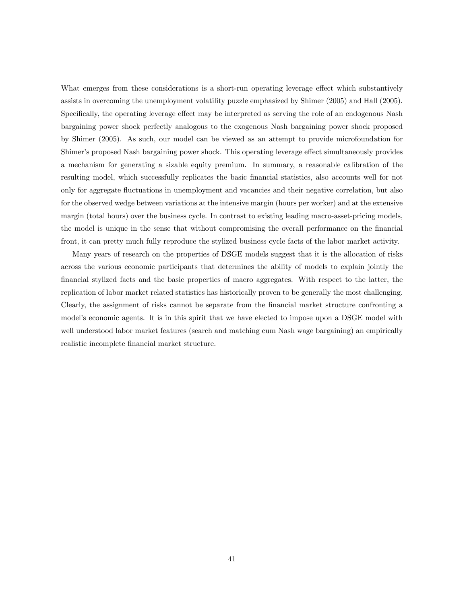What emerges from these considerations is a short-run operating leverage effect which substantively assists in overcoming the unemployment volatility puzzle emphasized by Shimer (2005) and Hall (2005). Specifically, the operating leverage effect may be interpreted as serving the role of an endogenous Nash bargaining power shock perfectly analogous to the exogenous Nash bargaining power shock proposed by Shimer (2005). As such, our model can be viewed as an attempt to provide microfoundation for Shimer's proposed Nash bargaining power shock. This operating leverage effect simultaneously provides a mechanism for generating a sizable equity premium. In summary, a reasonable calibration of the resulting model, which successfully replicates the basic Önancial statistics, also accounts well for not only for aggregate áuctuations in unemployment and vacancies and their negative correlation, but also for the observed wedge between variations at the intensive margin (hours per worker) and at the extensive margin (total hours) over the business cycle. In contrast to existing leading macro-asset-pricing models, the model is unique in the sense that without compromising the overall performance on the financial front, it can pretty much fully reproduce the stylized business cycle facts of the labor market activity.

Many years of research on the properties of DSGE models suggest that it is the allocation of risks across the various economic participants that determines the ability of models to explain jointly the Önancial stylized facts and the basic properties of macro aggregates. With respect to the latter, the replication of labor market related statistics has historically proven to be generally the most challenging. Clearly, the assignment of risks cannot be separate from the financial market structure confronting a model's economic agents. It is in this spirit that we have elected to impose upon a DSGE model with well understood labor market features (search and matching cum Nash wage bargaining) an empirically realistic incomplete Önancial market structure.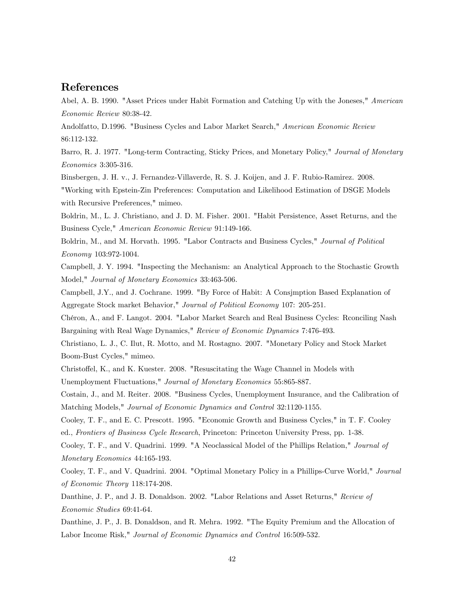## References

Abel, A. B. 1990. "Asset Prices under Habit Formation and Catching Up with the Joneses," American Economic Review 80:38-42.

Andolfatto, D.1996. "Business Cycles and Labor Market Search," American Economic Review 86:112-132.

Barro, R. J. 1977. "Long-term Contracting, Sticky Prices, and Monetary Policy," Journal of Monetary Economics 3:305-316.

Binsbergen, J. H. v., J. Fernandez-Villaverde, R. S. J. Koijen, and J. F. Rubio-Ramirez. 2008.

"Working with Epstein-Zin Preferences: Computation and Likelihood Estimation of DSGE Models with Recursive Preferences," mimeo.

Boldrin, M., L. J. Christiano, and J. D. M. Fisher. 2001. "Habit Persistence, Asset Returns, and the Business Cycle," American Economic Review 91:149-166.

Boldrin, M., and M. Horvath. 1995. "Labor Contracts and Business Cycles," Journal of Political Economy 103:972-1004.

Campbell, J. Y. 1994. "Inspecting the Mechanism: an Analytical Approach to the Stochastic Growth Model," Journal of Monetary Economics 33:463-506.

Campbell, J.Y., and J. Cochrane. 1999. "By Force of Habit: A Consjmption Based Explanation of Aggregate Stock market Behavior," Journal of Political Economy 107: 205-251.

Chéron, A., and F. Langot. 2004. "Labor Market Search and Real Business Cycles: Rconciling Nash Bargaining with Real Wage Dynamics," Review of Economic Dynamics 7:476-493.

Christiano, L. J., C. Ilut, R. Motto, and M. Rostagno. 2007. "Monetary Policy and Stock Market Boom-Bust Cycles," mimeo.

Christoffel, K., and K. Kuester. 2008. "Resuscitating the Wage Channel in Models with

Unemployment Fluctuations," Journal of Monetary Economics 55:865-887.

Costain, J., and M. Reiter. 2008. "Business Cycles, Unemployment Insurance, and the Calibration of Matching Models," Journal of Economic Dynamics and Control 32:1120-1155.

Cooley, T. F., and E. C. Prescott. 1995. "Economic Growth and Business Cycles," in T. F. Cooley ed., Frontiers of Business Cycle Research, Princeton: Princeton University Press, pp. 1-38.

Cooley, T. F., and V. Quadrini. 1999. "A Neoclassical Model of the Phillips Relation," Journal of Monetary Economics 44:165-193.

Cooley, T. F., and V. Quadrini. 2004. "Optimal Monetary Policy in a Phillips-Curve World," Journal of Economic Theory 118:174-208.

Danthine, J. P., and J. B. Donaldson. 2002. "Labor Relations and Asset Returns," Review of Economic Studies 69:41-64.

Danthine, J. P., J. B. Donaldson, and R. Mehra. 1992. "The Equity Premium and the Allocation of Labor Income Risk," Journal of Economic Dynamics and Control 16:509-532.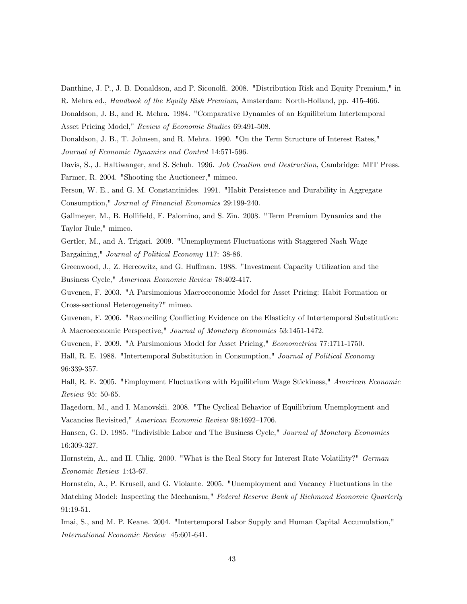Danthine, J. P., J. B. Donaldson, and P. Siconolfi. 2008. "Distribution Risk and Equity Premium," in

R. Mehra ed., Handbook of the Equity Risk Premium, Amsterdam: North-Holland, pp. 415-466.

Donaldson, J. B., and R. Mehra. 1984. "Comparative Dynamics of an Equilibrium Intertemporal Asset Pricing Model," Review of Economic Studies 69:491-508.

Donaldson, J. B., T. Johnsen, and R. Mehra. 1990. "On the Term Structure of Interest Rates," Journal of Economic Dynamics and Control 14:571-596.

Davis, S., J. Haltiwanger, and S. Schuh. 1996. Job Creation and Destruction, Cambridge: MIT Press. Farmer, R. 2004. "Shooting the Auctioneer," mimeo.

Ferson, W. E., and G. M. Constantinides. 1991. "Habit Persistence and Durability in Aggregate Consumption," Journal of Financial Economics 29:199-240.

Gallmeyer, M., B. Hollifield, F. Palomino, and S. Zin. 2008. "Term Premium Dynamics and the Taylor Rule," mimeo.

Gertler, M., and A. Trigari. 2009. "Unemployment Fluctuations with Staggered Nash Wage Bargaining," Journal of Political Economy 117: 38-86.

Greenwood, J., Z. Hercowitz, and G. Huffman. 1988. "Investment Capacity Utilization and the Business Cycle," American Economic Review 78:402-417.

Guvenen, F. 2003. "A Parsimonious Macroeconomic Model for Asset Pricing: Habit Formation or Cross-sectional Heterogeneity?" mimeo.

Guvenen, F. 2006. "Reconciling Conflicting Evidence on the Elasticity of Intertemporal Substitution: A Macroeconomic Perspective," Journal of Monetary Economics 53:1451-1472.

Guvenen, F. 2009. "A Parsimonious Model for Asset Pricing," Econometrica 77:1711-1750.

Hall, R. E. 1988. "Intertemporal Substitution in Consumption," Journal of Political Economy 96:339-357.

Hall, R. E. 2005. "Employment Fluctuations with Equilibrium Wage Stickiness," American Economic Review 95: 50-65.

Hagedorn, M., and I. Manovskii. 2008. "The Cyclical Behavior of Equilibrium Unemployment and Vacancies Revisited," American Economic Review 98:1692-1706.

Hansen, G. D. 1985. "Indivisible Labor and The Business Cycle," Journal of Monetary Economics 16:309-327.

Hornstein, A., and H. Uhlig. 2000. "What is the Real Story for Interest Rate Volatility?" German Economic Review 1:43-67.

Hornstein, A., P. Krusell, and G. Violante. 2005. "Unemployment and Vacancy Fluctuations in the Matching Model: Inspecting the Mechanism," Federal Reserve Bank of Richmond Economic Quarterly 91:19-51.

Imai, S., and M. P. Keane. 2004. "Intertemporal Labor Supply and Human Capital Accumulation," International Economic Review 45:601-641.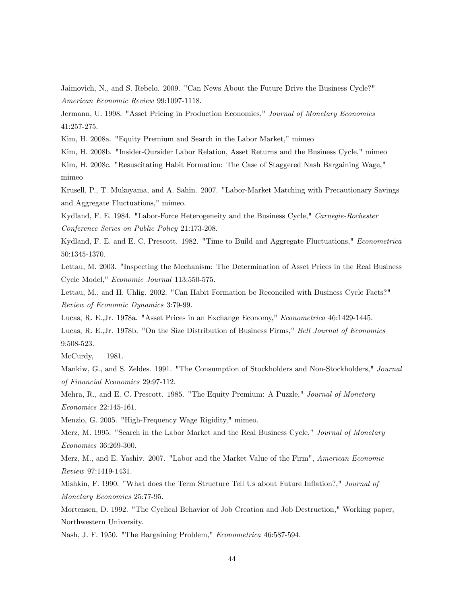Jaimovich, N., and S. Rebelo. 2009. "Can News About the Future Drive the Business Cycle?" American Economic Review 99:1097-1118.

Jermann, U. 1998. "Asset Pricing in Production Economies," Journal of Monetary Economics 41:257-275.

Kim, H. 2008a. "Equity Premium and Search in the Labor Market," mimeo

Kim, H. 2008b. "Insider-Oursider Labor Relation, Asset Returns and the Business Cycle," mimeo

Kim, H. 2008c. "Resuscitating Habit Formation: The Case of Staggered Nash Bargaining Wage," mimeo

Krusell, P., T. Mukoyama, and A. Sahin. 2007. "Labor-Market Matching with Precautionary Savings and Aggregate Fluctuations," mimeo.

Kydland, F. E. 1984. "Labor-Force Heterogeneity and the Business Cycle," Carnegie-Rochester Conference Series on Public Policy 21:173-208.

Kydland, F. E. and E. C. Prescott. 1982. "Time to Build and Aggregate Fluctuations," Econometrica 50:1345-1370.

Lettau, M. 2003. "Inspecting the Mechanism: The Determination of Asset Prices in the Real Business Cycle Model," Economic Journal 113:550-575.

Lettau, M., and H. Uhlig. 2002. "Can Habit Formation be Reconciled with Business Cycle Facts?" Review of Economic Dynamics 3:79-99.

Lucas, R. E.,Jr. 1978a. "Asset Prices in an Exchange Economy," Econometrica 46:1429-1445.

Lucas, R. E.,Jr. 1978b. "On the Size Distribution of Business Firms," Bell Journal of Economics 9:508-523.

McCurdy, 1981.

Mankiw, G., and S. Zeldes. 1991. "The Consumption of Stockholders and Non-Stockholders," Journal of Financial Economics 29:97-112.

Mehra, R., and E. C. Prescott. 1985. "The Equity Premium: A Puzzle," Journal of Monetary Economics 22:145-161.

Menzio, G. 2005. "High-Frequency Wage Rigidity," mimeo.

Merz, M. 1995. "Search in the Labor Market and the Real Business Cycle," Journal of Monetary Economics 36:269-300.

Merz, M., and E. Yashiv. 2007. "Labor and the Market Value of the Firm", American Economic Review 97:1419-1431.

Mishkin, F. 1990. "What does the Term Structure Tell Us about Future Inflation?," Journal of Monetary Economics 25:77-95.

Mortensen, D. 1992. "The Cyclical Behavior of Job Creation and Job Destruction," Working paper, Northwestern University.

Nash, J. F. 1950. "The Bargaining Problem," Econometrica 46:587-594.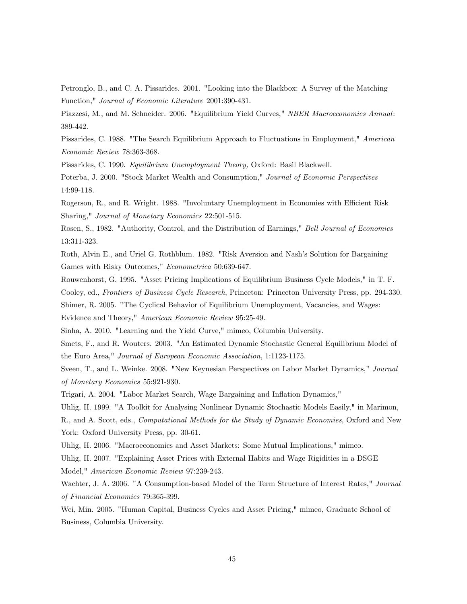Petronglo, B., and C. A. Pissarides. 2001. "Looking into the Blackbox: A Survey of the Matching Function," Journal of Economic Literature 2001:390-431.

Piazzesi, M., and M. Schneider. 2006. "Equilibrium Yield Curves," NBER Macroeconomics Annual: 389-442.

Pissarides, C. 1988. "The Search Equilibrium Approach to Fluctuations in Employment," American Economic Review 78:363-368.

Pissarides, C. 1990. Equilibrium Unemployment Theory, Oxford: Basil Blackwell.

Poterba, J. 2000. "Stock Market Wealth and Consumption," Journal of Economic Perspectives 14:99-118.

Rogerson, R., and R. Wright. 1988. "Involuntary Unemployment in Economies with Efficient Risk Sharing," Journal of Monetary Economics 22:501-515.

Rosen, S., 1982. "Authority, Control, and the Distribution of Earnings," Bell Journal of Economics 13:311-323.

Roth, Alvin E., and Uriel G. Rothblum. 1982. "Risk Aversion and Nash's Solution for Bargaining Games with Risky Outcomes," Econometrica 50:639-647.

Rouwenhorst, G. 1995. "Asset Pricing Implications of Equilibrium Business Cycle Models," in T. F. Cooley, ed., Frontiers of Business Cycle Research, Princeton: Princeton University Press, pp. 294-330.

Shimer, R. 2005. "The Cyclical Behavior of Equilibrium Unemployment, Vacancies, and Wages: Evidence and Theory," American Economic Review 95:25-49.

Sinha, A. 2010. "Learning and the Yield Curve," mimeo, Columbia University.

Smets, F., and R. Wouters. 2003. "An Estimated Dynamic Stochastic General Equilibrium Model of the Euro Area," Journal of European Economic Association, 1:1123-1175.

Sveen, T., and L. Weinke. 2008. "New Keynesian Perspectives on Labor Market Dynamics," Journal of Monetary Economics 55:921-930.

Trigari, A. 2004. "Labor Market Search, Wage Bargaining and Ináation Dynamics,"

Uhlig, H. 1999. "A Toolkit for Analysing Nonlinear Dynamic Stochastic Models Easily," in Marimon,

R., and A. Scott, eds., Computational Methods for the Study of Dynamic Economies, Oxford and New York: Oxford University Press, pp. 30-61.

Uhlig, H. 2006. "Macroeconomics and Asset Markets: Some Mutual Implications," mimeo.

Uhlig, H. 2007. "Explaining Asset Prices with External Habits and Wage Rigidities in a DSGE Model," American Economic Review 97:239-243.

Wachter, J. A. 2006. "A Consumption-based Model of the Term Structure of Interest Rates," Journal of Financial Economics 79:365-399.

Wei, Min. 2005. "Human Capital, Business Cycles and Asset Pricing," mimeo, Graduate School of Business, Columbia University.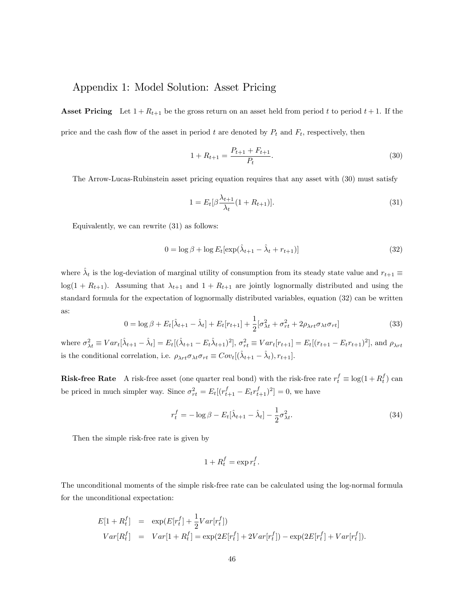## Appendix 1: Model Solution: Asset Pricing

**Asset Pricing** Let  $1 + R_{t+1}$  be the gross return on an asset held from period t to period  $t + 1$ . If the price and the cash flow of the asset in period t are denoted by  $P_t$  and  $F_t$ , respectively, then

$$
1 + R_{t+1} = \frac{P_{t+1} + F_{t+1}}{P_t}.
$$
\n(30)

The Arrow-Lucas-Rubinstein asset pricing equation requires that any asset with (30) must satisfy

$$
1 = E_t[\beta \frac{\lambda_{t+1}}{\lambda_t} (1 + R_{t+1})].
$$
\n(31)

Equivalently, we can rewrite (31) as follows:

$$
0 = \log \beta + \log E_t[\exp(\hat{\lambda}_{t+1} - \hat{\lambda}_t + r_{t+1})]
$$
\n(32)

where  $\hat{\lambda}_t$  is the log-deviation of marginal utility of consumption from its steady state value and  $r_{t+1} \equiv$  $log(1 + R_{t+1})$ . Assuming that  $\lambda_{t+1}$  and  $1 + R_{t+1}$  are jointly lognormally distributed and using the standard formula for the expectation of lognormally distributed variables, equation (32) can be written as:

$$
0 = \log \beta + E_t[\hat{\lambda}_{t+1} - \hat{\lambda}_t] + E_t[r_{t+1}] + \frac{1}{2}[\sigma_{\lambda t}^2 + \sigma_{rt}^2 + 2\rho_{\lambda rt}\sigma_{\lambda t}\sigma_{rt}]
$$
\n(33)

where  $\sigma_{\lambda t}^2 \equiv Var_t[\hat{\lambda}_{t+1} - \hat{\lambda}_t] = E_t[(\hat{\lambda}_{t+1} - E_t\hat{\lambda}_{t+1})^2], \sigma_{rt}^2 \equiv Var_t[r_{t+1}] = E_t[(r_{t+1} - E_t r_{t+1})^2],$  and  $\rho_{\lambda rt}$ is the conditional correlation, i.e.  $\rho_{\lambda rt} \sigma_{\lambda t} \sigma_{rt} \equiv Cov_t[(\hat{\lambda}_{t+1} - \hat{\lambda}_t), r_{t+1}].$ 

**Risk-free Rate** A risk-free asset (one quarter real bond) with the risk-free rate  $r_t^f \equiv \log(1 + R_t^f)$  can be priced in much simpler way. Since  $\sigma_{rt}^2 = E_t[(r_{t+1}^f - E_t r_{t+1}^f)^2] = 0$ , we have

$$
r_t^f = -\log \beta - E_t[\hat{\lambda}_{t+1} - \hat{\lambda}_t] - \frac{1}{2}\sigma_{\lambda t}^2.
$$
\n(34)

Then the simple risk-free rate is given by

$$
1 + R_t^f = \exp r_t^f.
$$

The unconditional moments of the simple risk-free rate can be calculated using the log-normal formula for the unconditional expectation:

$$
E[1 + R_t^f] = \exp(E[r_t^f] + \frac{1}{2}Var[r_t^f])
$$
  
\n
$$
Var[R_t^f] = Var[1 + R_t^f] = \exp(2E[r_t^f] + 2Var[r_t^f]) - \exp(2E[r_t^f] + Var[r_t^f]).
$$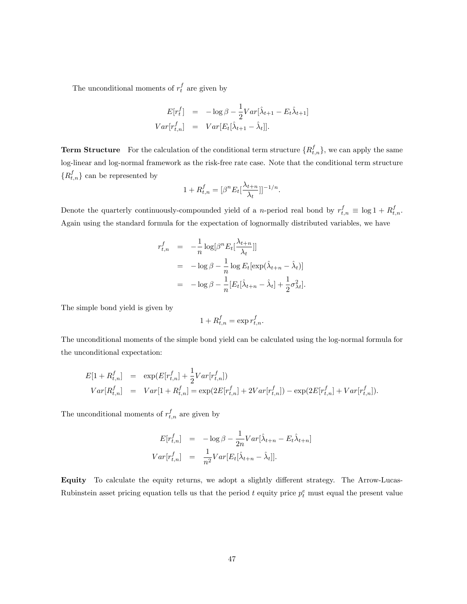The unconditional moments of  $r_t^f$  are given by

$$
E[r_t^f] = -\log \beta - \frac{1}{2}Var[\hat{\lambda}_{t+1} - E_t \hat{\lambda}_{t+1}]
$$
  

$$
Var[r_{t,n}^f] = Var[E_t[\hat{\lambda}_{t+1} - \hat{\lambda}_t]].
$$

**Term Structure** For the calculation of the conditional term structure  $\{R_{t,n}^f\}$ , we can apply the same log-linear and log-normal framework as the risk-free rate case. Note that the conditional term structure  $\{R_{t,n}^f\}$  can be represented by

$$
1 + R_{t,n}^f = [\beta^n E_t \left[ \frac{\lambda_{t+n}}{\lambda_t} \right]]^{-1/n}.
$$

Denote the quarterly continuously-compounded yield of a *n*-period real bond by  $r_{t,n}^f \equiv \log 1 + R_{t,n}^f$ . Again using the standard formula for the expectation of lognormally distributed variables, we have

$$
r_{t,n}^f = -\frac{1}{n} \log[\beta^n E_t[\frac{\lambda_{t+n}}{\lambda_t}]]
$$
  
=  $-\log \beta - \frac{1}{n} \log E_t[\exp(\hat{\lambda}_{t+n} - \hat{\lambda}_t)]$   
=  $-\log \beta - \frac{1}{n} [E_t[\hat{\lambda}_{t+n} - \hat{\lambda}_t] + \frac{1}{2} \sigma_{\lambda t}^2].$ 

The simple bond yield is given by

$$
1 + R_{t,n}^f = \exp r_{t,n}^f.
$$

The unconditional moments of the simple bond yield can be calculated using the log-normal formula for the unconditional expectation:

$$
E[1 + R_{t,n}^f] = \exp(E[r_{t,n}^f] + \frac{1}{2}Var[r_{t,n}^f])
$$
  
\n
$$
Var[R_{t,n}^f] = Var[1 + R_{t,n}^f] = \exp(2E[r_{t,n}^f] + 2Var[r_{t,n}^f]) - \exp(2E[r_{t,n}^f] + Var[r_{t,n}^f]).
$$

The unconditional moments of  $r_{t,n}^f$  are given by

$$
E[r_{t,n}^f] = -\log \beta - \frac{1}{2n} Var[\hat{\lambda}_{t+n} - E_t \hat{\lambda}_{t+n}]
$$
  

$$
Var[r_{t,n}^f] = \frac{1}{n^2} Var[E_t[\hat{\lambda}_{t+n} - \hat{\lambda}_t]].
$$

Equity To calculate the equity returns, we adopt a slightly different strategy. The Arrow-Lucas-Rubinstein asset pricing equation tells us that the period t equity price  $p_t^e$  must equal the present value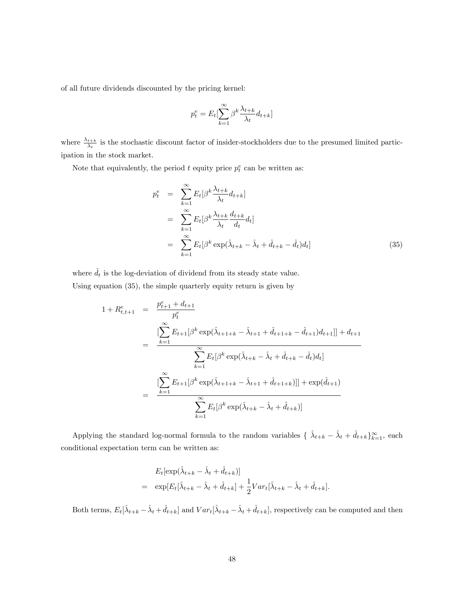of all future dividends discounted by the pricing kernel:

$$
p_t^e = E_t \left[\sum_{k=1}^{\infty} \beta^k \frac{\lambda_{t+k}}{\lambda_t} d_{t+k}\right]
$$

where  $\frac{\lambda_{t+k}}{\lambda_t}$  is the stochastic discount factor of insider-stockholders due to the presumed limited participation in the stock market.

Note that equivalently, the period  $t$  equity price  $p_t^e$  can be written as:

$$
p_t^e = \sum_{k=1}^{\infty} E_t[\beta^k \frac{\lambda_{t+k}}{\lambda_t} d_{t+k}]
$$
  
\n
$$
= \sum_{k=1}^{\infty} E_t[\beta^k \frac{\lambda_{t+k}}{\lambda_t} \frac{d_{t+k}}{d_t} d_t]
$$
  
\n
$$
= \sum_{k=1}^{\infty} E_t[\beta^k \exp(\hat{\lambda}_{t+k} - \hat{\lambda}_t + \hat{d}_{t+k} - \hat{d}_t) d_t]
$$
(35)

where  $\hat{d}_t$  is the log-deviation of dividend from its steady state value.

Using equation (35), the simple quarterly equity return is given by

$$
1 + R_{t,t+1}^{e} = \frac{p_{t+1}^{e} + d_{t+1}}{p_{t}^{e}}
$$
  
= 
$$
\frac{\sum_{k=1}^{\infty} E_{t+1}[\beta^{k} \exp(\hat{\lambda}_{t+1+k} - \hat{\lambda}_{t+1} + \hat{d}_{t+1+k} - \hat{d}_{t+1})d_{t+1}]] + d_{t+1}}{\sum_{k=1}^{\infty} E_{t}[\beta^{k} \exp(\hat{\lambda}_{t+k} - \hat{\lambda}_{t} + \hat{d}_{t+k} - \hat{d}_{t})d_{t}]}
$$
  
= 
$$
\frac{\sum_{k=1}^{\infty} E_{t+1}[\beta^{k} \exp(\hat{\lambda}_{t+1+k} - \hat{\lambda}_{t+1} + \hat{d}_{t+1+k})]] + \exp(\hat{d}_{t+1})}{\sum_{k=1}^{\infty} E_{t}[\beta^{k} \exp(\hat{\lambda}_{t+k} - \hat{\lambda}_{t} + \hat{d}_{t+k})]}
$$

Applying the standard log-normal formula to the random variables  $\{\hat{\lambda}_{t+k} - \hat{\lambda}_t + \hat{d}_{t+k}\}_{k=1}^{\infty}$ , each conditional expectation term can be written as:

$$
E_t[\exp(\hat{\lambda}_{t+k} - \hat{\lambda}_t + \hat{d}_{t+k})]
$$
  
= 
$$
\exp[E_t[\hat{\lambda}_{t+k} - \hat{\lambda}_t + \hat{d}_{t+k}] + \frac{1}{2}Var_t[\hat{\lambda}_{t+k} - \hat{\lambda}_t + \hat{d}_{t+k}].
$$

Both terms,  $E_t[\hat{\lambda}_{t+k} - \hat{\lambda}_t + \hat{d}_{t+k}]$  and  $Var_t[\hat{\lambda}_{t+k} - \hat{\lambda}_t + \hat{d}_{t+k}]$ , respectively can be computed and then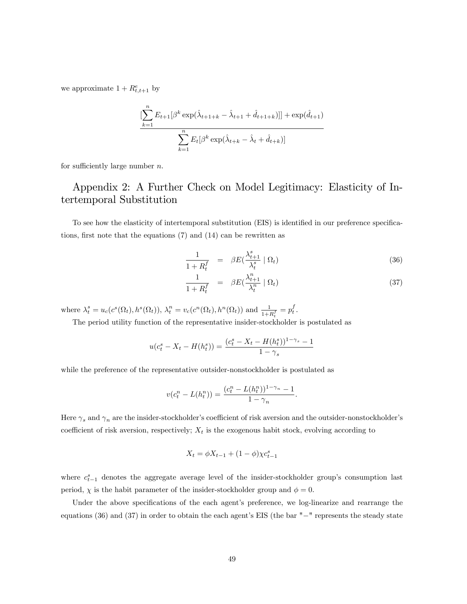we approximate  $1 + R_{t,t+1}^e$  by

$$
\frac{\left[\sum_{k=1}^{n} E_{t+1}[\beta^k \exp(\hat{\lambda}_{t+1+k} - \hat{\lambda}_{t+1} + \hat{d}_{t+1+k})]\right] + \exp(\hat{d}_{t+1})}{\sum_{k=1}^{n} E_t[\beta^k \exp(\hat{\lambda}_{t+k} - \hat{\lambda}_t + \hat{d}_{t+k})]}
$$

for sufficiently large number  $n$ .

## Appendix 2: A Further Check on Model Legitimacy: Elasticity of Intertemporal Substitution

To see how the elasticity of intertemporal substitution (EIS) is identified in our preference specifications, first note that the equations  $(7)$  and  $(14)$  can be rewritten as

$$
\frac{1}{1+R_t^f} = \beta E(\frac{\lambda_{t+1}^s}{\lambda_t^s} | \Omega_t)
$$
\n(36)

$$
\frac{1}{1+R_t^f} = \beta E(\frac{\lambda_{t+1}^n}{\lambda_t^n} | \Omega_t)
$$
\n(37)

where  $\lambda_t^s = u_c(c^s(\Omega_t), h^s(\Omega_t)), \lambda_t^n = v_c(c^n(\Omega_t), h^n(\Omega_t))$  and  $\frac{1}{1 + R_t^f} = p_t^f$ .

The period utility function of the representative insider-stockholder is postulated as

$$
u(c_t^s - X_t - H(h_t^s)) = \frac{(c_t^s - X_t - H(h_t^s))^{1-\gamma_s} - 1}{1 - \gamma_s}
$$

while the preference of the representative outsider-nonstockholder is postulated as

$$
v(c_t^n - L(h_t^n)) = \frac{(c_t^n - L(h_t^n))^{1 - \gamma_n} - 1}{1 - \gamma_n}.
$$

Here  $\gamma_s$  and  $\gamma_n$  are the insider-stockholder's coefficient of risk aversion and the outsider-nonstockholder's coefficient of risk aversion, respectively;  $X_t$  is the exogenous habit stock, evolving according to

$$
X_t = \phi X_{t-1} + (1 - \phi) \chi c_{t-1}^s
$$

where  $c_{t-1}^s$  denotes the aggregate average level of the insider-stockholder group's consumption last period,  $\chi$  is the habit parameter of the insider-stockholder group and  $\phi = 0$ .

Under the above specifications of the each agent's preference, we log-linearize and rearrange the equations  $(36)$  and  $(37)$  in order to obtain the each agent's EIS (the bar  $"$  -" represents the steady state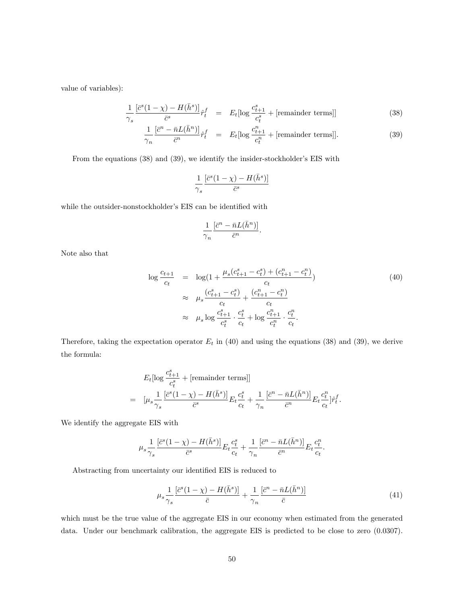value of variables):

$$
\frac{1}{\gamma_s} \frac{\left[\bar{c}^s (1 - \chi) - H(\bar{h}^s)\right]}{\bar{c}^s} \hat{r}_t^f = E_t[\log \frac{c_{t+1}^s}{c_t^s} + [\text{remainder terms}]] \tag{38}
$$

$$
\frac{1}{\gamma_n} \frac{\left[\bar{c}^n - \bar{n}L(\bar{h}^n)\right]}{\bar{c}^n} \hat{r}_t^f = E_t[\log \frac{c_{t+1}^n}{c_t^n} + [\text{remainder terms}]]. \tag{39}
$$

From the equations  $(38)$  and  $(39)$ , we identify the insider-stockholder's EIS with

$$
\frac{1}{\gamma_s}\frac{[\bar{c}^s(1-\chi)-H(\bar{h}^s)]}{\bar{c}^s}
$$

while the outsider-nonstockholder's EIS can be identified with

$$
\frac{1}{\gamma_n}\frac{[\bar{c}^n-\bar{n}L(\bar{h}^n)]}{\bar{c}^n}.
$$

Note also that

$$
\log \frac{c_{t+1}}{c_t} = \log(1 + \frac{\mu_s(c_{t+1}^s - c_t^s) + (c_{t+1}^n - c_t^n)}{c_t})
$$
\n
$$
\approx \mu_s \frac{(c_{t+1}^s - c_t^s) + (c_{t+1}^n - c_t^n)}{c_t}
$$
\n
$$
\approx \mu_s \log \frac{c_{t+1}^s}{c_t^s} \cdot \frac{c_t^s}{c_t} + \log \frac{c_{t+1}^n}{c_t^n} \cdot \frac{c_t^n}{c_t}.
$$
\n(40)

Therefore, taking the expectation operator  $E_t$  in (40) and using the equations (38) and (39), we derive the formula:

$$
E_t[\log \frac{c_{t+1}^s}{c_t^s} + [\text{remainder terms}]]
$$
  
= 
$$
[\mu_s \frac{1}{\gamma_s} \frac{[\bar{c}^s (1 - \chi) - H(\bar{h}^s)]}{\bar{c}^s} E_t \frac{c_t^s}{c_t} + \frac{1}{\gamma_n} \frac{[\bar{c}^n - \bar{n}L(\bar{h}^n)]}{\bar{c}^n} E_t \frac{c_t^n}{c_t} ] \hat{r}_t^f.
$$

We identify the aggregate EIS with

$$
\mu_s \frac{1}{\gamma_s} \frac{[\bar{c}^s (1-\chi) - H(\bar{h}^s)]}{\bar{c}^s} E_t \frac{c_t^s}{c_t} + \frac{1}{\gamma_n} \frac{[\bar{c}^n - \bar{n} L(\bar{h}^n)]}{\bar{c}^n} E_t \frac{c_t^n}{c_t}.
$$

Abstracting from uncertainty our identified EIS is reduced to

$$
\mu_s \frac{1}{\gamma_s} \frac{\left[\bar{c}^s (1 - \chi) - H(\bar{h}^s)\right]}{\bar{c}} + \frac{1}{\gamma_n} \frac{\left[\bar{c}^n - \bar{n} L(\bar{h}^n)\right]}{\bar{c}} \tag{41}
$$

which must be the true value of the aggregate EIS in our economy when estimated from the generated data. Under our benchmark calibration, the aggregate EIS is predicted to be close to zero  $(0.0307)$ .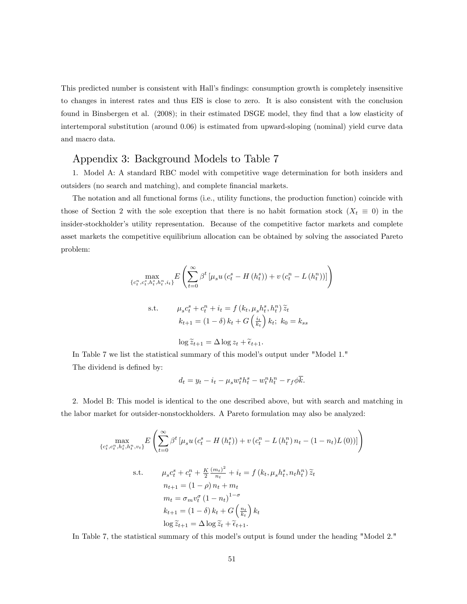This predicted number is consistent with Hall's findings: consumption growth is completely insensitive to changes in interest rates and thus EIS is close to zero. It is also consistent with the conclusion found in Binsbergen et al. (2008); in their estimated DSGE model, they find that a low elasticity of intertemporal substitution (around 0.06) is estimated from upward-sloping (nominal) yield curve data and macro data.

## Appendix 3: Background Models to Table 7

1. Model A: A standard RBC model with competitive wage determination for both insiders and outsiders (no search and matching), and complete financial markets.

The notation and all functional forms (i.e., utility functions, the production function) coincide with those of Section 2 with the sole exception that there is no habit formation stock  $(X_t \equiv 0)$  in the insider-stockholder's utility representation. Because of the competitive factor markets and complete asset markets the competitive equilibrium allocation can be obtained by solving the associated Pareto problem:

$$
\max_{\{c_t^n, c_t^s, h_t^n, h_t^n, i_t\}} E\left(\sum_{t=0}^{\infty} \beta^t \left[\mu_s u\left(c_t^s - H\left(h_t^s\right)\right) + v\left(c_t^n - L\left(h_t^n\right)\right)\right]\right)
$$
\ns.t. 
$$
\mu_s c_t^s + c_t^n + i_t = f\left(k_t, \mu_s h_t^s, h_t^n\right) \tilde{z}_t
$$
\n
$$
k_{t+1} = (1 - \delta) k_t + G\left(\frac{i_t}{k_t}\right) k_t; \ k_0 = k_{ss}
$$

$$
\log \widetilde{z}_{t+1} = \Delta \log z_t + \widetilde{\epsilon}_{t+1}.
$$

In Table 7 we list the statistical summary of this model's output under "Model 1." The dividend is defined by:

$$
d_t = y_t - i_t - \mu_s w_t^s h_t^s - w_t^n h_t^n - r_f \phi \overline{k}.
$$

2. Model B: This model is identical to the one described above, but with search and matching in the labor market for outsider-nonstockholders. A Pareto formulation may also be analyzed:

$$
\max_{\{c_t^s, c_t^n, h_t^s, h_t^n, v_t\}} E\left(\sum_{t=0}^{\infty} \beta^t \left[\mu_s u \left(c_t^s - H\left(h_t^s\right)\right) + v \left(c_t^n - L\left(h_t^n\right) n_t - (1 - n_t)L\left(0\right)\right)\right]\right)
$$
\n
$$
\text{s.t.} \qquad \mu_s c_t^s + c_t^n + \frac{K}{2} \frac{(m_t)^2}{n_t} + i_t = f\left(k_t, \mu_s h_t^s, n_t h_t^n\right) \widetilde{z}_t
$$
\n
$$
n_{t+1} = (1 - \rho) n_t + m_t
$$
\n
$$
m_t = \sigma_m v_t^\sigma \left(1 - n_t\right)^{1 - \sigma}
$$
\n
$$
k_{t+1} = (1 - \delta) k_t + G\left(\frac{n_t}{k_t}\right) k_t
$$
\n
$$
\log \widetilde{z}_{t+1} = \Delta \log \widetilde{z}_t + \widetilde{\epsilon}_{t+1}.
$$

In Table 7, the statistical summary of this model's output is found under the heading "Model 2."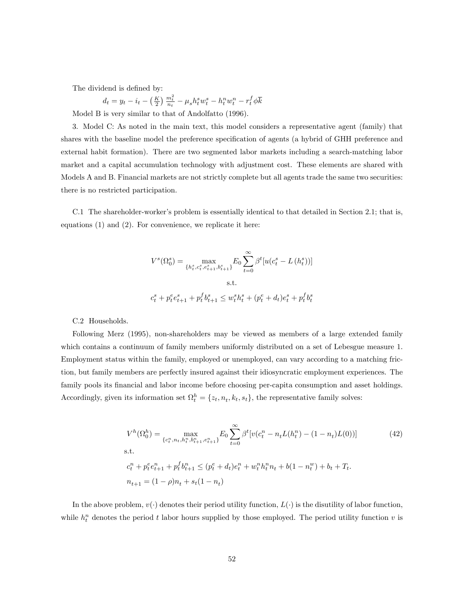The dividend is defined by:

$$
d_t = y_t - i_t - \left(\frac{K}{2}\right) \frac{m_t^2}{n_t} - \mu_s h_t^s w_t^s - h_t^n w_t^n - r_t^f \phi \overline{k}
$$

Model B is very similar to that of Andolfatto (1996).

3. Model C: As noted in the main text, this model considers a representative agent (family) that shares with the baseline model the preference specification of agents (a hybrid of GHH preference and external habit formation). There are two segmented labor markets including a search-matching labor market and a capital accumulation technology with adjustment cost. These elements are shared with Models A and B. Financial markets are not strictly complete but all agents trade the same two securities: there is no restricted participation.

C.1 The shareholder-worker's problem is essentially identical to that detailed in Section 2.1; that is, equations (1) and (2). For convenience, we replicate it here:

$$
V^{s}(\Omega_{0}^{s}) = \max_{\{h_{t}^{s}, c_{t}^{s}, e_{t+1}^{s}, b_{t+1}^{s}\}} E_{0} \sum_{t=0}^{\infty} \beta^{t} [u(c_{t}^{s} - L(h_{t}^{s}))]
$$
  
s.t.  

$$
c_{t}^{s} + p_{t}^{e} e_{t+1}^{s} + p_{t}^{f} b_{t+1}^{s} \leq w_{t}^{s} h_{t}^{s} + (p_{t}^{e} + d_{t}) e_{t}^{s} + p_{t}^{f} b_{t}^{s}
$$

C.2 Households.

Following Merz (1995), non-shareholders may be viewed as members of a large extended family which contains a continuum of family members uniformly distributed on a set of Lebesgue measure 1. Employment status within the family, employed or unemployed, can vary according to a matching friction, but family members are perfectly insured against their idiosyncratic employment experiences. The family pools its financial and labor income before choosing per-capita consumption and asset holdings. Accordingly, given its information set  $\Omega_t^h = \{z_t, n_t, k_t, s_t\}$ , the representative family solves:

$$
V^{h}(\Omega_{0}^{h}) = \max_{\{c_{t}^{n}, n_{t}, h_{t}^{n}, b_{t+1}^{n}, e_{t+1}^{n}\}} E_{0} \sum_{t=0}^{\infty} \beta^{t} [v(c_{t}^{n} - n_{t}L(h_{t}^{n}) - (1 - n_{t})L(0))]
$$
(42)  
s.t.  

$$
c_{t}^{n} + p_{t}^{e} e_{t+1}^{n} + p_{t}^{f} b_{t+1}^{n} \leq (p_{t}^{e} + d_{t}) e_{t}^{n} + w_{t}^{n} h_{t}^{n} n_{t} + b(1 - n_{t}^{w}) + b_{t} + T_{t}.
$$

$$
n_{t+1} = (1 - \rho)n_{t} + s_{t}(1 - n_{t})
$$

In the above problem,  $v(\cdot)$  denotes their period utility function,  $L(\cdot)$  is the disutility of labor function, while  $h_t^n$  denotes the period t labor hours supplied by those employed. The period utility function v is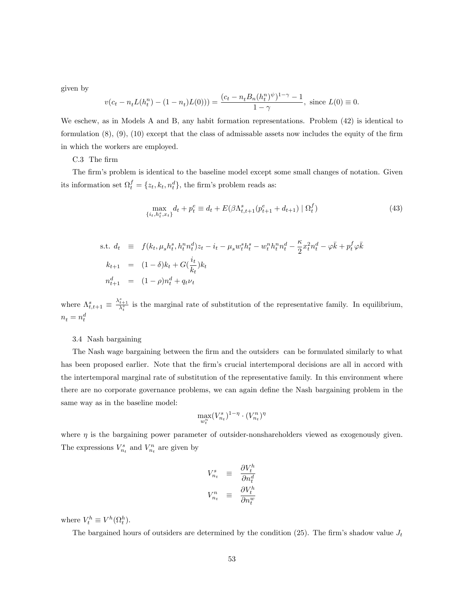given by

$$
v(c_t - n_t L(h_t^n) - (1 - n_t)L(0))) = \frac{(c_t - n_t B_n(h_t^n)^{\psi})^{1-\gamma} - 1}{1-\gamma}, \text{ since } L(0) \equiv 0.
$$

We eschew, as in Models A and B, any habit formation representations. Problem (42) is identical to formulation  $(8)$ ,  $(9)$ ,  $(10)$  except that the class of admissable assets now includes the equity of the firm in which the workers are employed.

C.3 The firm

The firm's problem is identical to the baseline model except some small changes of notation. Given its information set  $\Omega_t^f = \{z_t, k_t, n_t^d\}$ , the firm's problem reads as:

$$
\max_{\{i_t, h_t^s, x_t\}} d_t + p_t^e \equiv d_t + E(\beta \Lambda_{t,t+1}^s (p_{t+1}^e + d_{t+1}) \mid \Omega_t^f)
$$
\n(43)

s.t. 
$$
d_t \equiv f(k_t, \mu_s h_t^s, h_t^n n_t^d) z_t - i_t - \mu_s w_t^s h_t^s - w_t^n h_t^n n_t^d - \frac{\kappa}{2} x_t^2 n_t^d - \varphi \bar{k} + p_t^f \varphi \bar{k}
$$
  
\n $k_{t+1} = (1 - \delta) k_t + G(\frac{i_t}{k_t}) k_t$   
\n $n_{t+1}^d = (1 - \rho) n_t^d + q_t \nu_t$ 

where  $\Lambda_{t,t+1}^s \equiv \frac{\lambda_{t+1}^s}{\lambda_t^s}$  is the marginal rate of substitution of the representative family. In equilibrium,  $n_t = n_t^d$ 

#### 3.4 Nash bargaining

The Nash wage bargaining between the firm and the outsiders can be formulated similarly to what has been proposed earlier. Note that the firm's crucial intertemporal decisions are all in accord with the intertemporal marginal rate of substitution of the representative family. In this environment where there are no corporate governance problems, we can again define the Nash bargaining problem in the same way as in the baseline model:

$$
\max_{w_t^n}(V_{n_t}^s)^{1-\eta} \cdot (V_{n_t}^n)^\eta
$$

where  $\eta$  is the bargaining power parameter of outsider-nonshareholders viewed as exogenously given. The expressions  $V_{n_t}^s$  and  $V_{n_t}^n$  are given by

$$
\begin{array}{rcl} V_{n_t}^s & \equiv & \displaystyle \frac{\partial V_t^h}{\partial n_t^d} \\ V_{n_t}^n & \equiv & \displaystyle \frac{\partial V_t^h}{\partial n_t^w} \end{array}
$$

where  $V_t^h \equiv V^h(\Omega_t^h)$ .

The bargained hours of outsiders are determined by the condition (25). The firm's shadow value  $J_t$